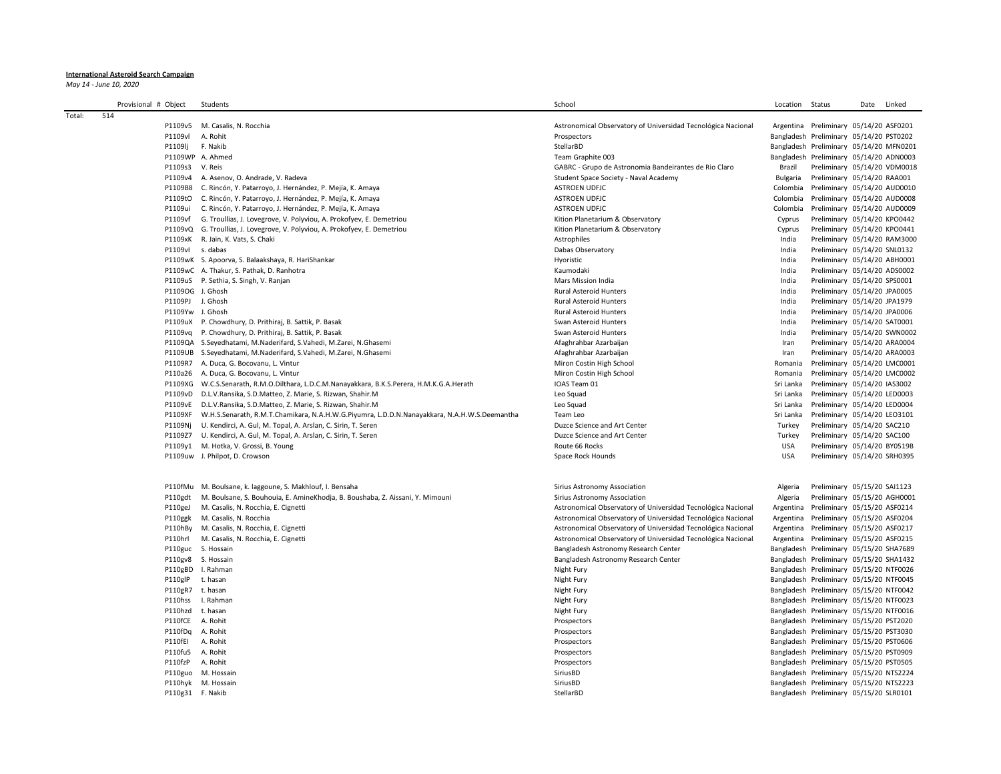## **International Asteroid Search Campaign**

*May 14 - June 10, 2020*

|        | Provisional # Object | Students                                                                                     | School                                                                     | Location   | Status                                                                             | Date | Linked |
|--------|----------------------|----------------------------------------------------------------------------------------------|----------------------------------------------------------------------------|------------|------------------------------------------------------------------------------------|------|--------|
| Total: | 514                  |                                                                                              | Astronomical Observatory of Universidad Tecnológica Nacional               |            | Argentina Preliminary 05/14/20 ASF0201                                             |      |        |
|        | P1109v5<br>P1109vl   | M. Casalis, N. Rocchia<br>A. Rohit                                                           | Prospectors                                                                |            | Bangladesh Preliminary 05/14/20 PST0202                                            |      |        |
|        | P1109lj              | F. Nakib                                                                                     | StellarBD                                                                  |            | Bangladesh Preliminary 05/14/20 MFN0201                                            |      |        |
|        |                      | P1109WP A. Ahmed                                                                             |                                                                            |            |                                                                                    |      |        |
|        | P1109s3              | V. Reis                                                                                      | Team Graphite 003<br>GABRC - Grupo de Astronomia Bandeirantes de Rio Claro | Brazil     | Bangladesh Preliminary 05/14/20 ADN0003<br>Preliminary 05/14/20 VDM0018            |      |        |
|        |                      | P1109v4 A. Asenov, O. Andrade, V. Radeva                                                     | Student Space Society - Naval Academy                                      | Bulgaria   | Preliminary 05/14/20 RAA001                                                        |      |        |
|        |                      | P1109B8 C. Rincón, Y. Patarroyo, J. Hernández, P. Mejía, K. Amaya                            | <b>ASTROEN UDFJC</b>                                                       | Colombia   | Preliminary 05/14/20 AUD0010                                                       |      |        |
|        | P1109tO              | C. Rincón, Y. Patarroyo, J. Hernández, P. Mejía, K. Amaya                                    | <b>ASTROEN UDFJC</b>                                                       | Colombia   | Preliminary 05/14/20 AUD0008                                                       |      |        |
|        | P1109ui              | C. Rincón, Y. Patarroyo, J. Hernández, P. Mejía, K. Amaya                                    | <b>ASTROEN UDFJC</b>                                                       | Colombia   | Preliminary 05/14/20 AUD0009                                                       |      |        |
|        | P1109vf              | G. Troullias, J. Lovegrove, V. Polyviou, A. Prokofyev, E. Demetriou                          | Kition Planetarium & Observatory                                           | Cyprus     | Preliminary 05/14/20 KPO0442                                                       |      |        |
|        | P1109vQ              | G. Troullias, J. Lovegrove, V. Polyviou, A. Prokofyev, E. Demetriou                          | Kition Planetarium & Observatory                                           | Cyprus     | Preliminary 05/14/20 KPO0441                                                       |      |        |
|        | P1109xK              | R. Jain, K. Vats, S. Chaki                                                                   | Astrophiles                                                                | India      | Preliminary 05/14/20 RAM3000                                                       |      |        |
|        | P1109vl              | s. dabas                                                                                     | Dabas Observatory                                                          | India      | Preliminary 05/14/20 SNL0132                                                       |      |        |
|        |                      | P1109wK S. Apoorva, S. Balaakshaya, R. HariShankar                                           | Hyoristic                                                                  | India      | Preliminary 05/14/20 ABH0001                                                       |      |        |
|        |                      | P1109wC A. Thakur, S. Pathak, D. Ranhotra                                                    | Kaumodaki                                                                  | India      | Preliminary 05/14/20 ADS0002                                                       |      |        |
|        |                      | P1109uS P. Sethia, S. Singh, V. Ranjan                                                       | Mars Mission India                                                         | India      | Preliminary 05/14/20 SPS0001                                                       |      |        |
|        | P1109OG J. Ghosh     |                                                                                              | Rural Asteroid Hunters                                                     | India      | Preliminary 05/14/20 JPA0005                                                       |      |        |
|        | P1109PJ J. Ghosh     |                                                                                              | <b>Rural Asteroid Hunters</b>                                              | India      | Preliminary 05/14/20 JPA1979                                                       |      |        |
|        | P1109Yw J. Ghosh     |                                                                                              | <b>Rural Asteroid Hunters</b>                                              | India      | Preliminary 05/14/20 JPA0006                                                       |      |        |
|        |                      | P1109uX P. Chowdhury, D. Prithiraj, B. Sattik, P. Basak                                      | Swan Asteroid Hunters                                                      | India      | Preliminary 05/14/20 SAT0001                                                       |      |        |
|        | P1109vg              | P. Chowdhury, D. Prithiraj, B. Sattik, P. Basak                                              | Swan Asteroid Hunters                                                      | India      | Preliminary 05/14/20 SWN0002                                                       |      |        |
|        |                      | P1109QA S.Seyedhatami, M.Naderifard, S.Vahedi, M.Zarei, N.Ghasemi                            | Afaghrahbar Azarbaijan                                                     | Iran       | Preliminary 05/14/20 ARA0004                                                       |      |        |
|        |                      | P1109UB S.Seyedhatami, M.Naderifard, S.Vahedi, M.Zarei, N.Ghasemi                            | Afaghrahbar Azarbaijan                                                     | Iran       | Preliminary 05/14/20 ARA0003                                                       |      |        |
|        |                      | P1109R7 A. Duca, G. Bocovanu, L. Vintur                                                      | Miron Costin High School                                                   | Romania    | Preliminary 05/14/20 LMC0001                                                       |      |        |
|        |                      | P110a26 A. Duca, G. Bocovanu, L. Vintur                                                      | Miron Costin High School                                                   | Romania    | Preliminary 05/14/20 LMC0002                                                       |      |        |
|        |                      | P1109XG W.C.S.Senarath, R.M.O.Dilthara, L.D.C.M.Nanayakkara, B.K.S.Perera, H.M.K.G.A.Herath  | IOAS Team 01                                                               | Sri Lanka  | Preliminary 05/14/20 IAS3002                                                       |      |        |
|        |                      | P1109vD D.L.V.Ransika, S.D.Matteo, Z. Marie, S. Rizwan, Shahir.M                             | Leo Squad                                                                  | Sri Lanka  | Preliminary 05/14/20 LED0003                                                       |      |        |
|        | P1109vE              | D.L.V.Ransika, S.D.Matteo, Z. Marie, S. Rizwan, Shahir.M                                     | Leo Squad                                                                  | Sri Lanka  | Preliminary 05/14/20 LED0004                                                       |      |        |
|        | P1109XF              | W.H.S.Senarath, R.M.T.Chamikara, N.A.H.W.G.Piyumra, L.D.D.N.Nanayakkara, N.A.H.W.S.Deemantha | Team Leo                                                                   | Sri Lanka  | Preliminary 05/14/20 LEO3101                                                       |      |        |
|        | P1109Nj              | U. Kendirci, A. Gul, M. Topal, A. Arslan, C. Sirin, T. Seren                                 | Duzce Science and Art Center                                               | Turkey     | Preliminary 05/14/20 SAC210                                                        |      |        |
|        | P1109Z7              | U. Kendirci, A. Gul, M. Topal, A. Arslan, C. Sirin, T. Seren                                 | Duzce Science and Art Center                                               | Turkey     | Preliminary 05/14/20 SAC100                                                        |      |        |
|        |                      | P1109y1 M. Hotka, V. Grossi, B. Young                                                        | Route 66 Rocks                                                             | USA        | Preliminary 05/14/20 BY0519B                                                       |      |        |
|        |                      | P1109uw J. Philpot, D. Crowson                                                               | Space Rock Hounds                                                          | <b>USA</b> | Preliminary 05/14/20 SRH0395                                                       |      |        |
|        |                      |                                                                                              |                                                                            |            |                                                                                    |      |        |
|        |                      | P110fMu M. Boulsane, k. laggoune, S. Makhlouf, I. Bensaha                                    | Sirius Astronomy Association                                               | Algeria    | Preliminary 05/15/20 SAI1123                                                       |      |        |
|        | P110gdt              | M. Boulsane, S. Bouhouia, E. AmineKhodja, B. Boushaba, Z. Aissani, Y. Mimouni                | Sirius Astronomy Association                                               | Algeria    | Preliminary 05/15/20 AGH0001                                                       |      |        |
|        | P110geJ              | M. Casalis, N. Rocchia, E. Cignetti                                                          | Astronomical Observatory of Universidad Tecnológica Nacional               | Argentina  | Preliminary 05/15/20 ASF0214                                                       |      |        |
|        | P110ggk              | M. Casalis, N. Rocchia                                                                       | Astronomical Observatory of Universidad Tecnológica Nacional               | Argentina  | Preliminary 05/15/20 ASF0204                                                       |      |        |
|        |                      | P110hBy M. Casalis, N. Rocchia, E. Cignetti                                                  | Astronomical Observatory of Universidad Tecnológica Nacional               |            | Argentina Preliminary 05/15/20 ASF0217                                             |      |        |
|        | P110hrl              | M. Casalis, N. Rocchia, E. Cignetti                                                          | Astronomical Observatory of Universidad Tecnológica Nacional               |            | Argentina Preliminary 05/15/20 ASF0215                                             |      |        |
|        | P110guc              | S. Hossain                                                                                   | Bangladesh Astronomy Research Center                                       |            | Bangladesh Preliminary 05/15/20 SHA7689                                            |      |        |
|        |                      | P110gv8 S. Hossain                                                                           | Bangladesh Astronomy Research Center                                       |            | Bangladesh Preliminary 05/15/20 SHA1432                                            |      |        |
|        |                      | P110gBD I. Rahman                                                                            | Night Fury                                                                 |            | Bangladesh Preliminary 05/15/20 NTF0026                                            |      |        |
|        | P110glP              | t. hasan                                                                                     | Night Fury                                                                 |            | Bangladesh Preliminary 05/15/20 NTF0045                                            |      |        |
|        | P110gR7 t. hasan     |                                                                                              | Night Fury                                                                 |            | Bangladesh Preliminary 05/15/20 NTF0042                                            |      |        |
|        | P110hss              | I. Rahman                                                                                    | Night Fury                                                                 |            | Bangladesh Preliminary 05/15/20 NTF0023                                            |      |        |
|        | P110hzd<br>P110fCE   | t. hasan<br>A. Rohit                                                                         | Night Fury                                                                 |            | Bangladesh Preliminary 05/15/20 NTF0016<br>Bangladesh Preliminary 05/15/20 PST2020 |      |        |
|        |                      |                                                                                              | Prospectors                                                                |            |                                                                                    |      |        |
|        | P110fDq              | A. Rohit                                                                                     | Prospectors                                                                |            | Bangladesh Preliminary 05/15/20 PST3030                                            |      |        |
|        | P110fEI<br>P110fu5   | A. Rohit<br>A. Rohit                                                                         | Prospectors<br>Prospectors                                                 |            | Bangladesh Preliminary 05/15/20 PST0606<br>Bangladesh Preliminary 05/15/20 PST0909 |      |        |
|        | P110fzP              | A. Rohit                                                                                     | Prospectors                                                                |            | Bangladesh Preliminary 05/15/20 PST0505                                            |      |        |
|        | P110guo              | M. Hossain                                                                                   | SiriusBD                                                                   |            | Bangladesh Preliminary 05/15/20 NTS2224                                            |      |        |
|        |                      | P110hyk M. Hossain                                                                           | SiriusBD                                                                   |            | Bangladesh Preliminary 05/15/20 NTS2223                                            |      |        |
|        | P110g31 F. Nakib     |                                                                                              | StellarBD                                                                  |            | Bangladesh Preliminary 05/15/20 SLR0101                                            |      |        |
|        |                      |                                                                                              |                                                                            |            |                                                                                    |      |        |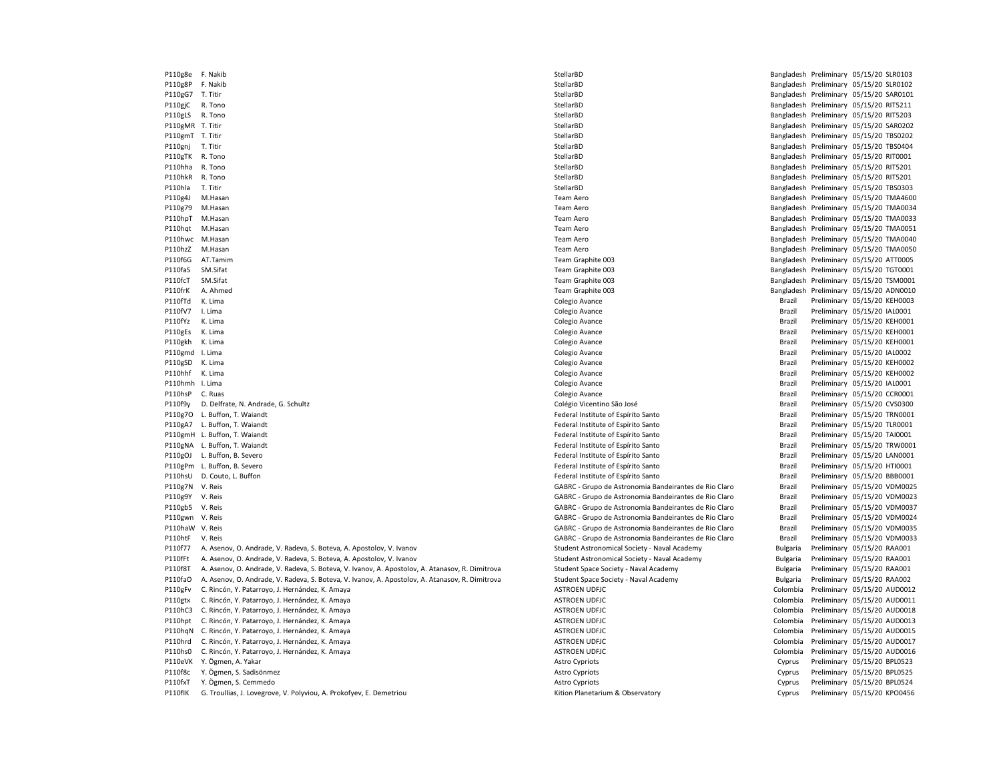P110g8e F. Nakib StellarBD Bangladesh Preliminary 05/15/20 SLR0103 P110g8P F. Nakib StellarBD Bangladesh Preliminary 05/15/20 SLR0102 P110gG7 T. Titir StellarBD Bangladesh Preliminary 05/15/20 SAR0101 P110gjC R. Tono StellarBD Bangladesh Preliminary 05/15/20 RIT5211 P110gLS R. Tono StellarBD Bangladesh Preliminary 05/15/20 RIT5203 P110gmT T. Titir StellarBD Bangladesh Preliminary 05/15/20 TBS0202 P110gnj T. Titir **Example 2018 and StellarBD** StellarBD StellarBD Bangladesh Preliminary 05/15/20 TBS0404 P110gTK R. Tono StellarBD Bangladesh Preliminary 05/15/20 RIT0001 P110hha R. Tono StellarBD Bangladesh Preliminary 05/15/20 RIT5201 P110hkR R. Tono StellarBD Bangladesh Preliminary 05/15/20 RIT5201 P110hla T. Titir **Example 2018 and StellarBD** StellarBD StellarBD StellarBD Bangladesh Preliminary 05/15/20 TBS0303 P110g4J M.Hasan Maxwell Maxwell Maxwell Maxwell Maxwell Team Aero Team Aero Bangladesh Preliminary 05/15/20 TMA4600 P110g79 M.Hasan Maxwell 2015/20 TMA0034 Cam Aero Team Aero Team Aero Bangladesh Preliminary 05/15/20 TMA0034 P110hpT M.Hasan Team Aero Bangladesh Preliminary 05/15/20 TMA0033 P110hqt M.Hasan Team Aero Bangladesh Preliminary 05/15/20 TMA0051 P110hwc M.Hasan Team Aero Bangladesh Preliminary 05/15/20 TMA0040 P110hzZ M.Hasan Team Aero Bangladesh Preliminary 05/15/20 TMA0050 P110f6G AT.Tamim **Example 2018** Team Graphite 003 **Bangladesh Preliminary 05/15/20 ATT0005** Bangladesh Preliminary 05/15/20 ATT0005 P110faS SM.Sifat **Team Graphite 003** Team Graphite 003 **Bangladesh Preliminary 05/15/20 TGT0001** P110fcT SM.Sifat Maximum and the SM.Sifat Team Graphite 003 Team Graphite 003 Bangladesh Preliminary 05/15/20 TSM0001 P110frK A. Ahmed **Team Graphite 003** Team Graphite 003 **Bangladesh Preliminary 05/15/20 ADN0010** P110fTd K. Lima Colegio Avance Brazil Preliminary 05/15/20 KEH0003 P110fV7 I. Lima Colegio Avance Brazil Preliminary 05/15/20 IAL0001 P110fYz K. Lima Colegio Avance Brazil Preliminary 05/15/20 KEH0001 P110gEs K. Lima Colegio Avance Brazil Preliminary 05/15/20 KEH0001 P110gkh K. Lima Colegio Avance Brazil Preliminary 05/15/20 KEH0001 P110gmd I. Lima Colegio Avance Brazil Preliminary 05/15/20 IAL0002 P110gSD K. Lima Colegio Avance Brazil Preliminary 05/15/20 KEH0002 P110hhf K. Lima Colegio Avance Brazil Preliminary 05/15/20 KEH0002 P110hmh I. Lima Colegio Avance Brazil Preliminary 05/15/20 IAL0001 P110hsP C. Ruas Colegio Avance Brazil Preliminary 05/15/20 CCR0001 P110f9y D. Delfrate, N. Andrade, G. Schultz Colégio Colégio Vicentino São José Colégio Vicentino São José Brazil Preliminary 05/15/20 CVS0300 P110g7O L. Buffon, T. Waiandt **Federal Institute of Espírito Santo** Federal Institute of Espírito Santo **Federal Institute of Espírito Santo** Brazil Preliminary 05/15/20 TRN0001 P110gA7 L. Buffon, T. Waiandt **Federal Institute of Espírito Santo** Federal Institute of Espírito Santo **Federal Institute of Espírito Santo** Brazil Preliminary 05/15/20 TLR0001 P110gmH L. Buffon, T. Waiandt **Federal Institute of Espírito Santo** Federal Institute of Espírito Santo **Federal Institute of Espírito Santo** Brazil Preliminary 05/15/20 TAI0001 P110gNA L. Buffon, T. Waiandt Charles and Federal Institute of Espírito Santo Brazil Preliminary 05/15/20 TRW0001 P110gOJ L. Buffon, B. Severo **Federal Institute of Expírito Santo** Federal Institute of Espírito Santo **Federal Institute of Espírito Santo** Brazil Preliminary 05/15/20 LAN0001 P110gPm L. Buffon, B. Severo **Federal Institute of Espírito Santo** Federal Institute of Espírito Santo **Federal Institute of Espírito Santo** Brazil Preliminary 05/15/20 HTI0001 P110hsU D. Couto, L. Buffon **Federal Institute of Espírito Santo** Federal Institute of Espírito Santo **Federal Institute of Espírito Santo** Brazil Preliminary 05/15/20 BBB0001 P110g7N V. Reis GABRC - Grupo de Astronomia Bandeirantes de Rio Claro Brazil Preliminary 05/15/20 VDM0025 P110g9Y V. Reis GABRC - Grupo de Astronomia Bandeirantes de Rio Claro Brazil Preliminary 05/15/20 VDM0023 P110gb5 V. Reis GABRC - Grupo de Astronomia Bandeirantes de Rio Claro Brazil Preliminary 05/15/20 VDM0037 P110gwn V. Reis external and Eric Chapter and Scheme GABRC - Grupo de Astronomia Bandeirantes de Rio Claro Brazil Preliminary 05/15/20 VDM0024 P110haW V. Reis GABRC - Grupo de Astronomia Bandeirantes de Rio Claro Brazil Preliminary 05/15/20 VDM0035 P110htF V. Reis GABRC - Grupo de Astronomia Bandeirantes de Rio Claro Brazil Preliminary 05/15/20 VDM0033 P110f77 A. Asenov, O. Andrade, V. Radeva, S. Boteva, A. Apostolov, V. Ivanov Student Astronomical Society - Naval Academy Bulgaria Preliminary 05/15/20 RAA001 P110fFt A. Asenov, O. Andrade, V. Radeva, S. Boteva, A. Apostolov, V. Ivanov Student Astronomical Society - Naval Academy Bulgaria Preliminary 05/15/20 RAA001 P110f8T A. Asenov, O. Andrade, V. Radeva, S. Boteva, V. Ivanov, A. Apostolov, A. Atanasov, R. Dimitrova Student Space Society - Naval Academy Student Space Society - Naval Academy Bulgaria Preliminary 05/15/20 RAA001 P110faO A. Asenov, O. Andrade, V. Radeva, S. Boteva, V. Ivanov, A. Apostolov, A. Atanasov, R. Dimitrova Student Space Society - Naval Academy Student Space Society - Naval Academy Student Space Society - Naval Academy Bulg P110gFv C. Rincón, Y. Patarroyo, J. Hernández, K. Amaya ASTROEN UDFJC Colombia Preliminary 05/15/20 AUD0012 P110gtx C. Rincón, Y. Patarroyo, J. Hernández, K. Amaya ASTROEN UDFJC Colombia Preliminary 05/15/20 AUD0011 P110hC3 C. Rincón, Y. Patarroyo, J. Hernández, K. Amaya ASTROEN UDFJC Colombia Preliminary 05/15/20 AUD0018 P110hpt C. Rincón, Y. Patarroyo, J. Hernández, K. Amaya ASTROEN ASTROEN UDFJC Colombia Preliminary 05/15/20 AUD0013 P110hqN C. Rincón, Y. Patarroyo, J. Hernández, K. Amaya ASTROEN UDFJC Colombia Preliminary 05/15/20 AUD0015 P110hrd C. Rincón, Y. Patarroyo, J. Hernández, K. Amaya ASTROEN UDFJC Colombia Preliminary 05/15/20 AUD0017 P110hs0 C. Rincón, Y. Patarroyo, J. Hernández, K. Amaya ASTROEN UDFJC Colombia Preliminary 05/15/20 AUD0016 P110eVK Y. Ögmen, A. Yakar Natural Astro Cypriots Cypriots Cyprus Preliminary 05/15/20 BPL0523 P110f8c Y. Ögmen, S. Sadisönmez **Astro Cypriots** Astro Cypriots Cyprots Cyprus Preliminary 05/15/20 BPL0525 P110fxT Y. Ögmen, S. Cemmedo **Astro Cypriots** Astro Cypriots **Cypriots** Cyprus Preliminary 05/15/20 BPL0524 P110fIK G. Troullias, J. Lovegrove, V. Polyviou, A. Prokofyev, E. Demetriou Chemitation Cyprus Preliminary 05/15/20 KPO0456

Bangladesh Preliminary 05/15/20 SAR0202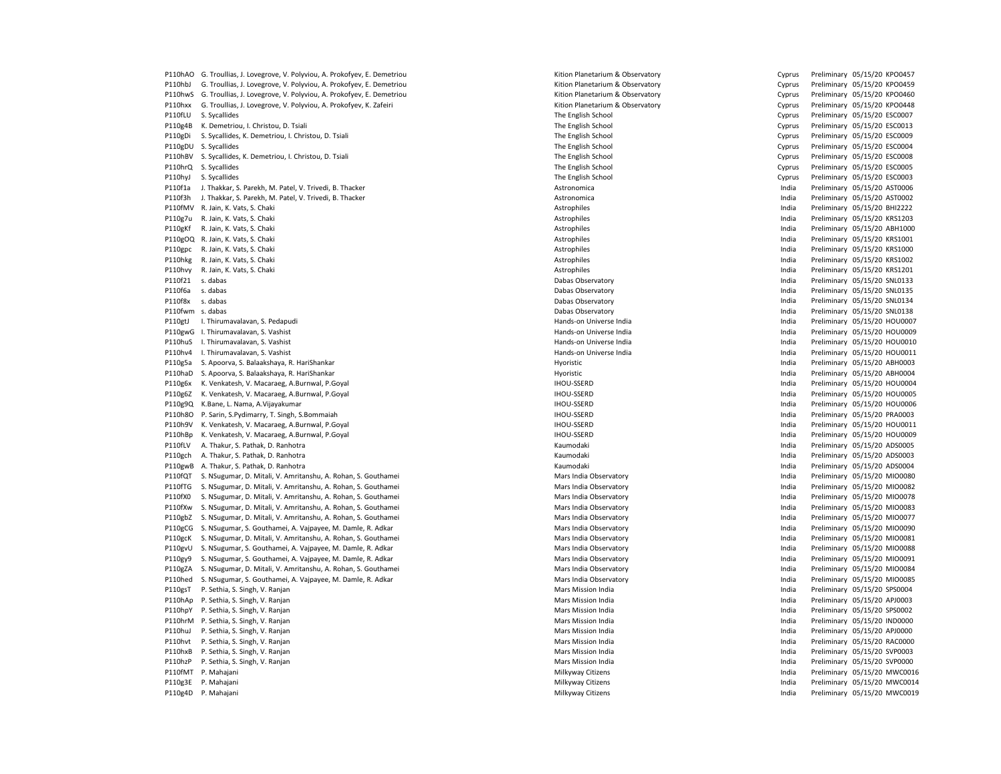P110hAO G. Troullias, J. Lovegrove, V. Polyviou, A. Prokofyev, E. Demetriou Chemitation Cyprus Preliminary 05/15/20 KPO0457 P110hbJ G. Troullias, J. Lovegrove, V. Polyviou, A. Prokofyev, E. Demetriou entertain compared and the Cyprus Preliminary Capital of Protocompare and the Cyprus Preliminary 05/15/20 KPO0459 P110hwS G. Troullias, J. Lovegrove, V. Polyviou, A. Prokofyev, E. Demetriou Cyprus Preliminary 05/15/20 KPO0460 P110hxx G. Troullias, J. Lovegrove, V. Polyviou, A. Prokofyev, K. Zafeiri entertain compared and the Cyprus Preliminary Capital of Districts and Troullias, J. Lovegrove, V. Polyviou, A. Prokofyev, K. Zafeiri entertain comp P110fLU S. Sycallides **Provides** The English School The English School Cyprus Preliminary 05/15/20 ESC0007 P110g4B K. Demetriou, I. Christou, D. Tsiali Cyprus Preliminary 05/15/20 ESCOO13<br>P110gDi S. Sycallides, K. Demetriou, I. Christou, D. Tsiali Cyprus Preliminary 05/15/20 ESCOO09 The English School Cyprus Preliminary 05/15/2 P110gDi S. Sycallides, K. Demetriou, I. Christou, D. Tsiali The English School Cyprus Preliminary 05/15/20 ESC000 P110gDU S. Sycallides examples the English School The English School Cyprus Preliminary 05/15/20 ESC0004 P110hBV S. Sycallides, K. Demetriou, I. Christou, D. Tsiali Cyprus Preliminary 05/15/20 ESC0008 P110hrQ S. Sycallides examples the English School The English School Cyprus Preliminary 05/15/20 ESC0005 P110hyJ S. Sycallides examples the English School The English School Cyprus Preliminary 05/15/20 ESC0003 P110f1a J. Thakkar, S. Parekh, M. Patel, V. Trivedi, B. Thacker Mater Astronomica Christmas and Astronomica and the stronomica christmas and the method of the preliminary 05/15/20 AST0006 P110f3h J. Thakkar, S. Parekh, M. Patel, V. Trivedi, B. Thacker Astronomica India Preliminary 05/15/20 AST0002 P110fMV R. Jain, K. Vats, S. Chaki **Astrophiles Astrophiles** Astrophiles **Astrophiles** India Preliminary 05/15/20 BHI2222 P110g7u R. Jain, K. Vats, S. Chaki **Astrophiles** Astrophiles Astrophiles Astrophiles **India Preliminary 05/15/20 KRS1203** P110gKf R. Jain, K. Vats, S. Chaki **Astrophiles** Astrophiles Astrophiles and Astrophiles and Astrophiles and Astrophiles and Astrophiles and Astrophiles and Astrophiles and Astrophiles and Astrophiles and Astrophiles and A P110gOQ R. Jain, K. Vats, S. Chaki **Astrophiles** Astrophiles Astrophiles and Astrophiles and Astrophiles and Preliminary 05/15/20 KRS1001 P110gpc R. Jain, K. Vats, S. Chaki **Astrophiles** Astrophiles Astrophiles and Astrophiles and Astrophiles and Preliminary 05/15/20 KRS1000 P110hkg R. Jain, K. Vats, S. Chaki **Astrophiles** Astrophiles Astrophiles and Astrophiles and a Preliminary 05/15/20 KRS1002 P110hvy R. Jain, K. Vats, S. Chaki **Astrophiles** Astrophiles Astrophiles and Astrophiles and Astrophiles and Preliminary 05/15/20 KRS1201 P110f21 s. dabas Dabas Observatory India Preliminary 05/15/20 SNL0133 P110f6a s. dabas Dabas Observatory India Preliminary 05/15/20 SNL0135 P110fwm s. dabas Dabas Observatory India Preliminary 05/15/20 SNL0138 P110gtJ I. Thirumavalavan, S. Pedapudi Hands-on Universe India India Preliminary 05/15/20 HOU0007 P110gwG I. Thirumavalavan, S. Vashist etimes and the second term and the Hands-on Universe India India Preliminary 05/15/20 HOU0009 P110huS I. Thirumavalavan, S. Vashist etimes and the second term and the Hands-on Universe India India Preliminary 05/15/20 HOU0010 P110hv4 I. Thirumavalavan, S. Vashist etimes and the second term of the Hands-on Universe India India Preliminary 05/15/20 HOU0011 P110g5a S. Apoorva, S. Balaakshaya, R. HariShankar Hyoristic India Preliminary 05/15/20 ABH0003 P110haD S. Apoorva, S. Balaakshaya, R. HariShankar Hyoristic Hyoristic Hyoristic Hyoristic Preliminary 05/15/20 ABH 001a P110g6x K. Venkatesh, V. Macaraeg, A.Burnwal, P.Goyal and Macaraegy and Macaraegy and Macaraegy and Macaraegy and Macaraegy and Macaraegy and Macaraegy and Macaraegy and Macaraegy and Macaraegy and Macaraegy and Macaraegy P110g6Z K. Venkatesh, V. Macaraeg, A.Burnwal, P.Goyal India Preliminary 05/15/20 HOU-SSERD India Preliminary 05/15/20 HOU-SSERD India P110g9Q K.Bane, L. Nama, A.Vijayakumar IHOU-SSERD India Preliminary 05/15/20 HOU0006 P110h8O P. Sarin, S.Pydimarry, T. Singh, S.Bommaiah India india and States and States and States and States and HOU-SSERD India Preliminary 05/15/20 PRA0003 P110h9V K. Venkatesh, V. Macaraeg, A.Burnwal, P.Goyal Sand Development Controller and Development Controller and Development Controller and Development Controller and Development Controller and Development Controller and D P110hBp K. Venkatesh, V. Macaraeg, A.Burnwal, P.Goyal States and Macaraegy and Macaraegy and Preliminary 05/15/20 HOU0009 P110fLV A. Thakur, S. Pathak, D. Ranhotra Natura Kaumove Channel Channel Channel Channel Channel Channel Channel Channel Channel Channel Channel Channel Channel Channel Channel Channel Channel Channel Channel Channel Chann P110gch A. Thakur, S. Pathak, D. Ranhotra **Kaumodaki India Preliminary 05/15/20 ADS0003** Preliminary 05/15/20 ADS0003 P110gwB A. Thakur, S. Pathak, D. Ranhotra **Kaumodaki India Preliminary 05/15/20 ADS0004** P110fQT S. NSugumar, D. Mitali, V. Amritanshu, A. Rohan, S. Gouthamei Mars India Discovery Mars India Observatory Mars India Observatory India Preliminary 05/15/20 MIO0080 P110fTG S. NSugumar, D. Mitali, V. Amritanshu, A. Rohan, S. Gouthamei Mars India Diservatory Mars India Observatory Communications of the United States of the Preliminary 05/15/20 MIO0082 P110fX0 S. NSugumar, D. Mitali, V. Amritanshu, A. Rohan, S. Gouthamei Mars India Diservatory Mars India Observatory Communications of the United States of the India Preliminary 05/15/20 MIO0078 P110fXw S. NSugumar, D. Mitali, V. Amritanshu, A. Rohan, S. Gouthamei Mars India Diservatory Mars India Observatory Communications of the United States of the Preliminary 05/15/20 MIO0083 P110gbZ S. NSugumar, D. Mitali, V. Amritanshu, A. Rohan, S. Gouthamei Mars India Diservatory Mars India Observatory Communications of the United States of the India Preliminary 05/15/20 MIO0077 P110gCG S. NSugumar, S. Gouthamei, A. Vajpayee, M. Damle, R. Adkar Mars India District and Mars India Observatory Mars India Observatory India Preliminary 05/15/20 MIO0090 P110gcK S. NSugumar, D. Mitali, V. Amritanshu, A. Rohan, S. Gouthamei Mars India Observatory Mars India Observatory Mars India Preliminary 05/15/20 MIO0081 P110gvU S. NSugumar, S. Gouthamei, A. Vajpayee, M. Damle, R. Adkar Nars India Premission of the State of the Mars India Observatory and the Mars India Preliminary 05/15/20 MIO0088<br>P110gv9 S. NSugumar. S. Gouthamei. A. Vaip P110gy9 S. NSugumar, S. Gouthamei, A. Vajpayee, M. Damle, R. Adkar Mars India District and Mars India Observatory Mars India Observatory India Preliminary 05/15/20 MIO0091 P110gZA S. NSugumar, D. Mitali, V. Amritanshu, A. Rohan, S. Gouthamei Mars India Diservatory Mars India Observatory Communications of the United States of the Preliminary 05/15/20 MIO0084 P110hed S. NSugumar, S. Gouthamei, A. Vajpayee, M. Damle, R. Adkar Mars India District and Mars India Observatory Mars India Observatory India Preliminary 05/15/20 MIO0085 P110gsT P. Sethia, S. Singh, V. Ranjan Mars Mission India Mars Mission India India Preliminary 05/15/20 SPS0004 P110hAp P. Sethia, S. Singh, V. Ranjan Mars Mission India Mars Mission India India Preliminary 05/15/20 APJ0003 P110hpY P. Sethia, S. Singh, V. Ranjan Mars Mission India Mars Mission India India Preliminary 05/15/20 SPS0002 P110hrM P. Sethia, S. Singh, V. Ranjan Mars Mars Mission India Mars Mission India India Preliminary 05/15/20 IND0000 P110huJ P. Sethia, S. Singh, V. Ranjan Mars Mission India Mars Mission India India Preliminary 05/15/20 APJ0000 P110hvt P. Sethia, S. Singh, V. Ranjan Mars Mission India Mars Mission India India Preliminary 05/15/20 RAC0000 P110hxB P. Sethia, S. Singh, V. Ranjan Mars Mission India Mars Mission India India Preliminary 05/15/20 SVP0003 P110hzP P. Sethia, S. Singh, V. Ranjan Mars Mission India Mars Mission India India Preliminary 05/15/20 SVP0000 P110fMT P. Mahajani **Milkyway Citizens India Preliminary 05/15/20 MWC0016** Peliminary 05/15/20 MWC0016 P110g3E P. Mahajani **Milkyway Citizens** Milkyway Citizens Milkyway Citizens **India Preliminary 05/15/20 MWC0014** P110g4D P. Mahajani **Milkyway Citizens** Milkyway Citizens Milkyway Citizens **India Preliminary 05/15/20 MWC0019** 

Particular Dabas Observatory and the United States of the United States of the India Preliminary 05/15/20 SNL0134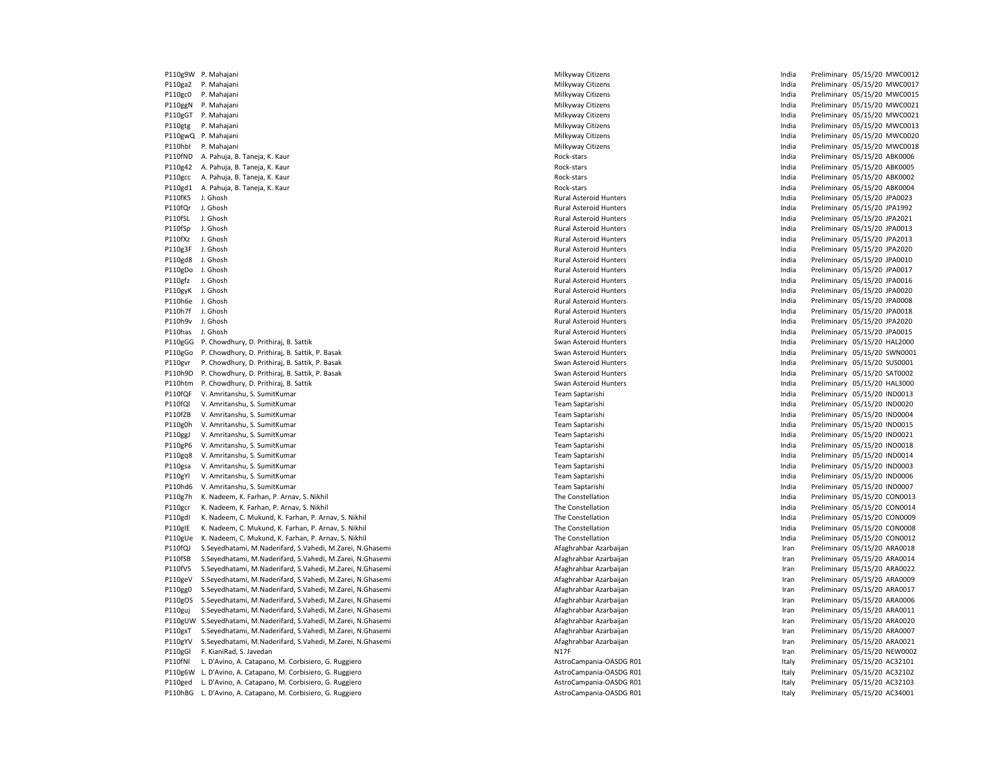P110g9W P. Mahajani **Milkyway Citizens** Milkyway Citizens **Milkyway Citizens** Milkyway Citizens **Preliminary 05/15/20 MWC0012** P110ga2 P. Mahajani **Milkyway Citizens** Milkyway Citizens Milkyway Citizens **India Preliminary 05/15/20 MWC0017** P110gc0 P. Mahajani **Milkyway Citizens** Milkyway Citizens Milkyway Citizens **India Preliminary 05/15/20 MWC0015** P110ggN P. Mahajani **Milkyway Citizens India Preliminary 05/15/20 MWC0021** Milkyway Citizens **India Preliminary 05/15/20 MWC0021** P110gGT P. Mahajani **Milkyway Citizens** Milkyway Citizens **Milkyway Citizens** India Preliminary 05/15/20 MWC0021 P110gtg P. Mahajani **Milkyway Citizens** Milkyway Citizens Milkyway Citizens **India Preliminary 05/15/20 MWC0013** P110gwQ P. Mahajani **Milkyway Citizens** Milkyway Citizens Milkyway Citizens **India Preliminary 05/15/20 MWC0020** P110hbI P. Mahajani **Milkyway Citizens** Milkyway Citizens **Milkyway Citizens** Milkyway Citizens **Preliminary 05/15/20 MWC0018** P110fND A. Pahuja, B. Taneja, K. Kaur **Mahuja, B. Taneja, K. Kaur Rock-stars** Rock-stars **India** Preliminary 05/15/20 ABK0006 P110g42 A. Pahuja, B. Taneja, K. Kaur **Mahuja, B. Taneja, K. Kaur Rock-stars** Rock-stars **India** Preliminary 05/15/20 ABK0005 P110gcc A. Pahuja, B. Taneja, K. Kaur **Mahuja, B. Taneja, K. Kaur Rock-stars** Rock-stars **India** Preliminary 05/15/20 ABK0002 P110gd1 A. Pahuja, B. Taneja, K. Kaur Rock-stars India Preliminary 05/15/20 ABK0004 P110fK5 J. Ghosh Rural Asteroid Hunters India Preliminary 05/15/20 JPA0023 P110fQr J. Ghosh Rural Asteroid Hunters India Preliminary 05/15/20 JPA1992 P110fSL J. Ghosh Rural Asteroid Hunters India Preliminary 05/15/20 JPA2021 P110fSp J. Ghosh Rural Asteroid Hunters India Preliminary 05/15/20 JPA0013 P110fXz J. Ghosh Rural Asteroid Hunters India Preliminary 05/15/20 JPA2013 P110g3F J. Ghosh Rural Asteroid Hunters India Preliminary 05/15/20 JPA2020 P110gd8 J. Ghosh **Product Asteroid Hunters** Rural Asteroid Hunters **Number 2016** India Preliminary 05/15/20 JPA0010 P110gDo J. Ghosh **Product Asteroid Hunters** Rural Asteroid Hunters **Contained Asteroid Hunters Product Asteroid Hunters India** Preliminary 05/15/20 JPA0017 P110gfz J. Ghosh Rural Asteroid Hunters India Preliminary 05/15/20 JPA0016 P110gyK J. Ghosh Rural Asteroid Hunters India Preliminary 05/15/20 JPA0020 P110h6e J. Ghosh Rural Asteroid Hunters India Preliminary 05/15/20 JPA0008 P110h7f J. Ghosh Rural Asteroid Hunters India Preliminary 05/15/20 JPA0018 P110h9v J. Ghosh Rural Asteroid Hunters India Preliminary 05/15/20 JPA2020 P110has J. Ghosh Rural Asteroid Hunters India Preliminary 05/15/20 JPA0015 P110gGG P. Chowdhury, D. Prithiraj, B. Sattik Swan Asteroid Hunters Swan Asteroid Hunters Swan Asteroid Hunters Swan Asteroid Hunters Free Swan Asteroid Hunters and the Preliminary 05/15/20 HAL2000 P110gGo P. Chowdhury, D. Prithiraj, B. Sattik, P. Basak Swan Asteroid Hunters Swan Asteroid Hunters Free Communication of Preliminary 05/15/20 SWN0001 P110gvr P. Chowdhury, D. Prithiraj, B. Sattik, P. Basak Swan Asteroid Hunters Swan Asteroid Hunters From the Swan Asteroid Hunters Swan Asteroid Hunters Priminary 05/15/20 SUS0001 Preliminary 05/15/20 SUS0001 Preliminary 0 P110h9D P. Chowdhury, D. Prithiraj, B. Sattik, P. Basak Swan Asteroid Hunters India Preliminary 05/15/20 Swan Asteroid Hunters India P110htm P. Chowdhury, D. Prithiraj, B. Sattik Swan Asteroid Hunters Swan Asteroid Hunters Swan Asteroid Hunters Swan Asteroid Hunters India Preliminary 05/15/20 HAL3000 P110fQF V. Amritanshu, S. SumitKumar Team Saptarishi Team Saptarishi Team Saptarishi India Preliminary 05/15/20 IND0013 P110fQl V. Amritanshu, S. SumitKumar Team Saptarishi India Preliminary 05/15/20 IND0020 P110fZB V. Amritanshu, S. SumitKumar Team Saptarishi Team Saptarishi Team Saptarishi India Preliminary 05/15/20 IND0004 P110g0h V. Amritanshu, S. SumitKumar **Team Saptarishi** Team Saptarishi Team Saptarishi India Preliminary 05/15/20 IND0015 P110ggJ V. Amritanshu, S. SumitKumar Team Saptarishi Team Saptarishi Team Saptarishi India Preliminary 05/15/20 IND0021 P110gP6 V. Amritanshu, S. SumitKumar Team Saptarishi Team Saptarishi Team Saptarishi Number Saptarishi Number Saptarishi Number Saptarishi Number Saptarishi Number Saptarishi Number Saptarishi Number Saptarishi Number Sapt P110gq8 V. Amritanshu, S. SumitKumar Team Saptarishi Team Saptarishi Team Saptarishi India Preliminary 05/15/20 IND0014 P110gsa V. Amritanshu, S. SumitKumar Team Saptarishi Team Saptarishi Team Saptarishi Number Saptarishi Number Saptarishi Number Saptarishi Number Saptarishi Number Saptarishi Number Saptarishi Number Saptarishi Number Sapt P110gYl V. Amritanshu, S. SumitKumar Team Saptarishi Team Saptarishi Team Saptarishi India Preliminary 05/15/20 IND0006 P110hd6 V. Amritanshu, S. SumitKumar Team Saptarishi Team Saptarishi Team Saptarishi Nubu administrative memberiminary 05/15/20 IND0007 P110g7h K. Nadeem, K. Farhan, P. Arnav, S. Nikhil States and The Constellation The Constellation Constellation Constellation India Preliminary 05/15/20 CON0013 P110gcr K. Nadeem, K. Farhan, P. Arnav, S. Nikhil States and The Constellation The Constellation Constellation Constellation Constellation India Preliminary 05/15/20 CON0014 P110gdl K. Nadeem, C. Mukund, K. Farhan, P. Arnav, S. Nikhil States and The Constellation The Constellation Constellation Constellation India Preliminary 05/15/20 CON0009 P110gIE K. Nadeem, C. Mukund, K. Farhan, P. Arnav, S. Nikhil States and The Constellation Constellation Constellation Constellation India Preliminary 05/15/20 CON0008 P110gUe K. Nadeem, C. Mukund, K. Farhan, P. Arnav, S. Nikhil The The Constellation The Constellation The Constellation India Preliminary 05/15/20 CON0012 P110fQJ S.Seyedhatami, M.Naderifard, S.Vahedi, M.Zarei, N.Ghasemi American Arabaitan Azarbaijan Azarbaijan Azarbaijan Iran Preliminary 05/15/20 ARA0018 P110fSB S.Seyedhatami, M.Naderifard, S.Vahedi, M.Zarei, N.Ghasemi American Arabaitan Azarbaijan Azarbaijan Araghrahbar Azarbaijan Iran Preliminary 05/15/20 ARA0014 P110fV5 S.Seyedhatami, M.Naderifard, S.Vahedi, M.Zarei, N.Ghasemi American Arabaitan Azarbaijan Afaghrahbar Azarbaijan Iran Preliminary 05/15/20 ARA0022 P110geV S.Seyedhatami, M.Naderifard, S.Vahedi, M.Zarei, N.Ghasemi American Arabaitan Azarbaijan Azarbaijan Preliminary 05/15/20 ARA0009 P110gg0 S.Seyedhatami, M.Naderifard, S.Vahedi, M.Zarei, N.Ghasemi American Arabaitan Azarbaijan Azarbaijan Preliminary 05/15/20 ARA0017 P110gOS S.Seyedhatami, M.Naderifard, S.Vahedi, M.Zarei, N.Ghasemi American Arabaitan Azarbaijan Azarbaijan Preliminary 05/15/20 ARA0006 P110guj S.Seyedhatami, M.Naderifard, S.Vahedi, M.Zarei, N.Ghasemi American Arabaitan Preliminary 05/15/20 ARA0011 P110gUW S.Seyedhatami, M.Naderifard, S.Vahedi, M.Zarei, N.Ghasemi Afaghrahbar Azarbaijan Iran Preliminary 05/15/20 ARA0020 P110gxT S.Seyedhatami, M.Naderifard, S.Vahedi, M.Zarei, N.Ghasemi Afaghrahbar Azarbaijan Iran Preliminary 05/15/20 ARA0007 P110gYV S.Seyedhatami, M.Naderifard, S.Vahedi, M.Zarei, N.Ghasemi American Arabaitan Azarbaijan Azarbaijan Azarbaijan Iran Preliminary 05/15/20 ARA0021 P110gGl F. KianiRad, S. Javedan **Natural Annual Company of the Case of Case Company Company of the Case of Case Company of the Case of Case Company of the Preliminary 05/15/20 NEW0002** P110fNl L. D'Avino, A. Catapano, M. Corbisiero, G. Ruggiero 
astrocampania-OASDG R01 Corbisinary 05/15/20 AC32101 P110g6W L. D'Avino, A. Catapano, M. Corbisiero, G. Ruggiero 
astroCampania-OASDG R01 Italy Preliminary 05/15/20 AC32102 P110ged L. D'Avino, A. Catapano, M. Corbisiero, G. Ruggiero **AstroCampania-OASDG ROM** AstroCampania-OASDG R01 **Italy Preliminary 05/15/20 AC32103** P110hBG L. D'Avino, A. Catapano, M. Corbisiero, G. Ruggiero 
and AstroCampania-OASDG R01 Italy Preliminary 05/15/20 AC34001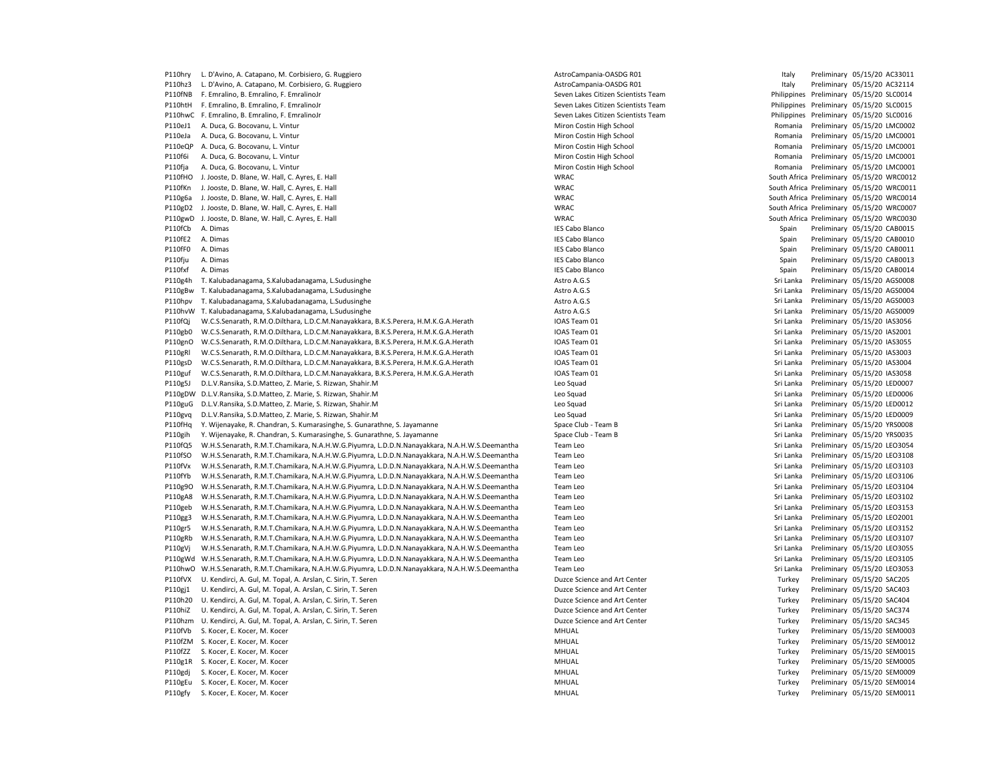P110hry L. D'Avino, A. Catapano, M. Corbisiero, G. Ruggiero **AstroCampania-OASDG ROM** AstroCampania-OASDG R01 **Italy Preliminary 05/15/20 AC33011** P110hz3 L. D'Avino, A. Catapano, M. Corbisiero, G. Ruggiero **AstroCampania-OASDG ROM** AstroCampania-OASDG R01 **Italy Preliminary 05/15/20 AC32114** P110fNB F. Emralino, B. Emralino, F. EmralinoJr Seven Lakes Citizen Scientists Team Philippines Preliminary 05/15/20 SLC0014 P110htH F. Emralino, B. Emralino, F. EmralinoJr Seven Lakes Citizen Scientists Team Philippines Preliminary 05/15/20 SLC0015 P110hwC F. Emralino, B. Emralino, F. Emralino, F. EmralinoJr Seven Lakes Citizen Scientists Team Philippines Preliminary 05/15/20 SLC0016 P110eJ1 A. Duca, G. Bocovanu, L. Vintur Costin Miron Costin High School Miron Costin High School Romania Preliminary 05/15/20 LMC0002 P110eJa A. Duca, G. Bocovanu, L. Vintur Costin Miron Costin High School Miron Costin High School Romania Preliminary 05/15/20 LMC0001 P110eQP A. Duca, G. Bocovanu, L. Vintur Costin Miron Costin High School Miron Costin High School Romania Preliminary 05/15/20 LMC0001 P110f6i A. Duca, G. Bocovanu, L. Vintur Costin Miron Costin High School Miron Costin High School Romania Preliminary 05/15/20 LMC0001 P110fja A. Duca, G. Bocovanu, L. Vintur Costin Miron Costin High School Miron Costin High School Romania Preliminary 05/15/20 LMC0001 P110fHO J. Jooste, D. Blane, W. Hall, C. Ayres, E. Hall WRAC South Africa Preliminary 05/15/20 WRC0012 P110fKn J. Jooste, D. Blane, W. Hall, C. Ayres, E. Hall WRAC South Africa Preliminary 05/15/20 WRC0011 P110g6a J. Jooste, D. Blane, W. Hall, C. Ayres, E. Hall WRAC South Africa Preliminary 05/15/20 WRC0014 P110gD2 J. Jooste, D. Blane, W. Hall, C. Ayres, E. Hall WRAC South Africa Preliminary 05/15/20 WRC0007 P110gwD J. Jooste, D. Blane, W. Hall, C. Ayres, E. Hall WRAC South Africa Preliminary 05/15/20 WRC0030 P110fCb A. Dimas Cabo Blanco Spain Preliminary 05/15/20 CAB0015 P110fE2 A. Dimas **IES Cabo Blanco** IES Cabo Blanco **IES Cabo Blanco** Spain Preliminary 05/15/20 CAB0010 P110fF0 A. Dimas **IES Cabo Blanco** IES Cabo Blanco **IES Cabo Blanco** Spain Preliminary 05/15/20 CAB0011 P110fju A. Dimas **IES Cabo Blanco** IES Cabo Blanco **IES Cabo Blanco** Spain Preliminary 05/15/20 CAB0013 P110fxf A. Dimas extendion to the state of the School (Spain Preliminary 05/15/20 CAB0014 P110g4h T. Kalubadanagama, S.Kalubadanagama, L.Sudusinghe Astro A.G.S Astro A.G.S San Astro A.G.S Server Astro A.G.S Server Astro A.G.S Server Astro A.G.S Server Astro A.G.S Server Astro A.G.S Server Astro A.G.S Server Ast P110gBw T. Kalubadanagama, S.Kalubadanagama, L.Sudusinghe Astro A.G.S Astro A.G.S San Astro A.G.S Server Astro A.G.S Server Astro A.G.S Server Astro A.G.S Server Astro A.G.S Server Astro A.G.S Server Astro A.G.S Server Ast P110hpv T. Kalubadanagama, S.Kalubadanagama, L.Sudusinghe Astro A.G.S Astro A.G.S Astro A.G.S Sri Lanka Preliminary 05/15/20 AGS0003 P110hvW T. Kalubadanagama, S.Kalubadanagama, L.Sudusinghe Astro A.G.S Astro A.G.S San Astro A.G.S Server Astro A.G.S Server Astro A.G.S Server Astro A.G.S Server Astro A.G.S Server Astro A.G.S Server Astro A.G.S Server Ast P110fQj W.C.S.Senarath, R.M.O.Dilthara, L.D.C.M.Nanayakkara, B.K.S.Perera, H.M.K.G.A.Herath IOAS Team 01 Sri Lanka Preliminary 05/15/20 IAS3056 P110gb0 W.C.S.Senarath, R.M.O.Dilthara, L.D.C.M.Nanayakkara, B.K.S.Perera, H.M.K.G.A.Herath IOAS Team 01 Sri Lanka Preliminary 05/15/20 IAS2001 P110gnO W.C.S.Senarath, R.M.O.Dilthara, L.D.C.M.Nanayakkara, B.K.S.Perera, H.M.K.G.A.Herath IOAS Team 01 Sri Lanka Preliminary 05/15/20 IAS3055 P110gRl W.C.S.Senarath, R.M.O.Dilthara, L.D.C.M.Nanayakkara, B.K.S.Perera, H.M.K.G.A.Herath IOAS Team 01 Sri Lanka Preliminary 05/15/20 IAS3003 P110gsD W.C.S.Senarath, R.M.O.Dilthara, L.D.C.M.Nanayakkara, B.K.S.Perera, H.M.K.G.A.Herath IOAS Team 01 Sri Lanka Preliminary 05/15/20 IAS3004 P110guf W.C.S.Senarath, R.M.O.Dilthara, L.D.C.M.Nanayakkara, B.K.S.Perera, H.M.K.G.A.Herath IOAS Team 01 Sri Lanka Preliminary 05/15/20 IAS3058 P110g5J D.L.V.Ransika, S.D.Matteo, Z. Marie, S. Rizwan, Shahir.M Camera Sri Lanka Preliminary 05/15/20 LED0007 P110gDW D.L.V.Ransika, S.D.Matteo, Z. Marie, S. Rizwan, Shahir.M Camera Sri Lanka Preliminary 05/15/20 LED0006 P110guG D.L.V.Ransika, S.D.Matteo, Z. Marie, S. Rizwan, Shahir.M Changes and Sri Lanka Preliminary 05/15/20 LED0012 P110gvq D.L.V.Ransika, S.D.Matteo, Z. Marie, S. Rizwan, Shahir.M Channel Sri Lanka Preliminary 05/15/20 LED0009 P110fHq Y. Wijenayake, R. Chandran, S. Kumarasinghe, S. Gunarathne, S. Jayamanne Space Club - Team B Space Club - Team B Sri Lanka Preliminary 05/15/20 YRS0008 P110gih Y. Wijenayake, R. Chandran, S. Kumarasinghe, S. Gunarathne, S. Jayamanne Space Club - Team B Sri Lanka Preliminary 05/15/20 YRS0035 P110fQ5 W.H.S.Senarath, R.M.T.Chamikara, N.A.H.W.G.Piyumra, L.D.D.N.Nanayakkara, N.A.H.W.S.Deemantha Team Leo Sri Lanka Preliminary 05/15/20 LEO3054 P110fSO W.H.S.Senarath, R.M.T.Chamikara, N.A.H.W.G.Piyumra, L.D.D.N.Nanayakkara, N.A.H.W.S.Deemantha Team Leo Sri Lanka Preliminary 05/15/20 LEO3108 P110fVx W.H.S.Senarath, R.M.T.Chamikara, N.A.H.W.G.Piyumra, L.D.D.N.Nanayakkara, N.A.H.W.S.Deemantha Team Leo Sri Lanka Preliminary 05/15/20 LEO3103 P110fYb W.H.S.Senarath, R.M.T.Chamikara, N.A.H.W.G.Piyumra, L.D.D.N.Nanayakkara, N.A.H.W.S.Deemantha Team Leo Sri Lanka Preliminary 05/15/20 LEO3106 P110g9O W.H.S.Senarath, R.M.T.Chamikara, N.A.H.W.G.Piyumra, L.D.D.N.Nanayakkara, N.A.H.W.S.Deemantha Team Leo Sri Lanka Preliminary 05/15/20 LEO3104 P110gA8 W.H.S.Senarath, R.M.T.Chamikara, N.A.H.W.G.Piyumra, L.D.D.N.Nanayakkara, N.A.H.W.S.Deemantha Team Leo Sri Lanka Preliminary 05/15/20 LEO3102 P110geb W.H.S.Senarath, R.M.T.Chamikara, N.A.H.W.G.Piyumra, L.D.D.N.Nanayakkara, N.A.H.W.S.Deemantha Team Leo Sri Lanka Preliminary 05/15/20 LEO3153 P110gg3 W.H.S.Senarath, R.M.T.Chamikara, N.A.H.W.G.Piyumra, L.D.D.N.Nanayakkara, N.A.H.W.S.Deemantha Team Leo Sri Lanka Preliminary 05/15/20 LEO2001 P110gr5 W.H.S.Senarath, R.M.T.Chamikara, N.A.H.W.G.Piyumra, L.D.D.N.Nanayakkara, N.A.H.W.S.Deemantha Team Leo Sri Lanka Preliminary 05/15/20 LEO3152 P110gRb W.H.S.Senarath, R.M.T.Chamikara, N.A.H.W.G.Piyumra, L.D.D.N.Nanayakkara, N.A.H.W.S.Deemantha Team Leo Sri Lanka Preliminary 05/15/20 LEO3107 P110gVj W.H.S.Senarath, R.M.T.Chamikara, N.A.H.W.G.Piyumra, L.D.D.N.Nanayakkara, N.A.H.W.S.Deemantha Team Leo Sri Lanka Preliminary 05/15/20 LEO3055 P110gWd W.H.S.Senarath, R.M.T.Chamikara, N.A.H.W.G.Piyumra, L.D.D.N.Nanayakkara, N.A.H.W.S.Deemantha Team Leo Sri Lanka Preliminary 05/15/20 LEO3105 P110hwO W.H.S.Senarath, R.M.T.Chamikara, N.A.H.W.G.Piyumra, L.D.D.N.Nanayakkara, N.A.H.W.S.Deemantha Team Leo Sri Lanka Preliminary 05/15/20 LEO3053 P110fVX U. Kendirci, A. Gul, M. Topal, A. Arslan, C. Sirin, T. Seren Duzce Science and Art Center Turkey Preliminary 05/15/20 SAC205 P110gj1 U. Kendirci, A. Gul, M. Topal, A. Arslan, C. Sirin, T. Seren Duzce Science and Art Center Turkey Preliminary 05/15/20 SAC403 P110h20 U. Kendirci, A. Gul, M. Topal, A. Arslan, C. Sirin, T. Seren Duzce Science and Art Center Turkey Preliminary 05/15/20 SAC404 P110hiZ U. Kendirci, A. Gul, M. Topal, A. Arslan, C. Sirin, T. Seren Duzce Science and Art Center Turkey Preliminary 05/15/20 SAC374 P110hzm U. Kendirci, A. Gul, M. Topal, A. Arslan, C. Sirin, T. Seren Duzce Cience and Art Center Duzce Science and Art Center Turkey Preliminary 05/15/20 SAC345 P110fVb S. Kocer, E. Kocer, M. Kocer **MHUAL Turkey Preliminary 05/15/20 SEM0003** P110fZM S. Kocer, E. Kocer, M. Kocer **MEDIAL EXAMPLE SEMONE CONTROL** MEDIAL Turkey Preliminary 05/15/20 SEM0012 P110fZZ S. Kocer, E. Kocer, M. Kocer MHUAL Turkey Preliminary 05/15/20 SEM0015 P110g1R S. Kocer, E. Kocer, M. Kocer **MEDIAL Turkey Preliminary 05/15/20 SEM0005** MHUAL Turkey Preliminary 05/15/20 SEM0005 P110gdj S. Kocer, E. Kocer, M. Kocer **MEDIAL EXAMPLE SEMONDER** MHUAL MHUAL Turkey Preliminary 05/15/20 SEM0009 P110gEu S. Kocer, E. Kocer, M. Kocer **MEDIAL EXAMPLE SETTER** MEDIAL MEDIAL Turkey Preliminary 05/15/20 SEM0014 P110gfy S. Kocer, E. Kocer, M. Kocer **MEDIAL REGISTER** MEDIAL MEDIAL MEDIAL Turkey Preliminary 05/15/20 SEM0011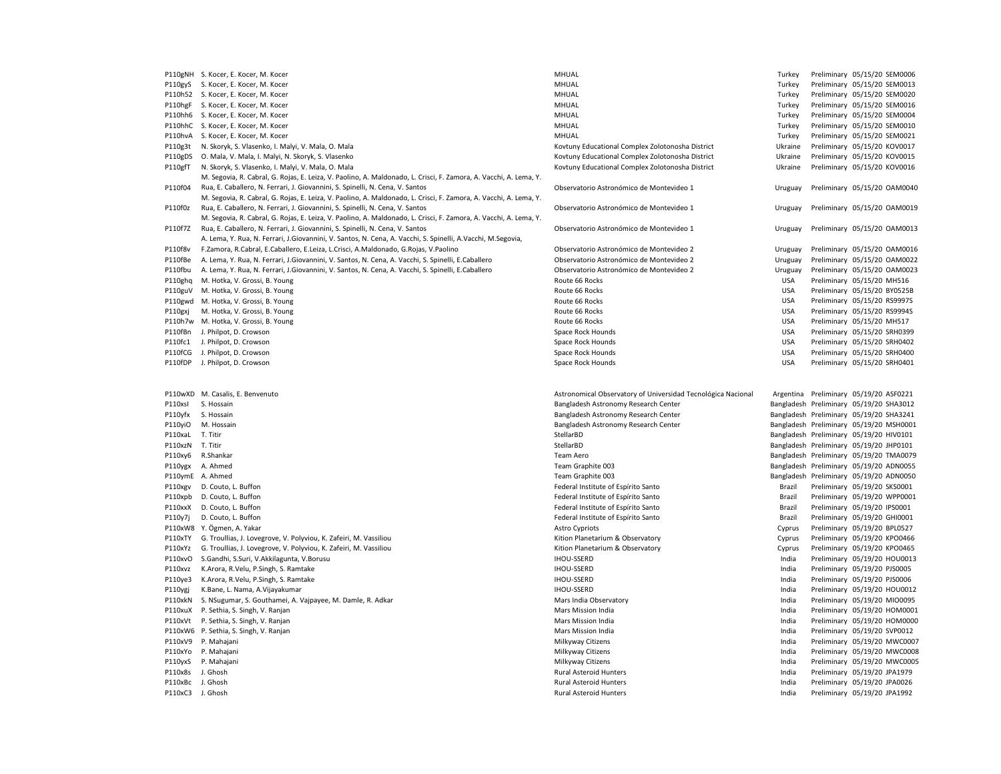|                  | P110gNH S. Kocer, E. Kocer, M. Kocer                                                                              | MHUAL                                                        | Turkey     | Preliminary 05/15/20 SEM0006                                 |
|------------------|-------------------------------------------------------------------------------------------------------------------|--------------------------------------------------------------|------------|--------------------------------------------------------------|
| P110gyS          | S. Kocer, E. Kocer, M. Kocer                                                                                      | MHUAL                                                        | Turkey     | Preliminary 05/15/20 SEM0013                                 |
| P110h52          | S. Kocer, E. Kocer, M. Kocer                                                                                      | MHUAL                                                        | Turkey     | Preliminary 05/15/20 SEM0020                                 |
| P110hgF          | S. Kocer, E. Kocer, M. Kocer                                                                                      | MHUAL                                                        | Turkey     | Preliminary 05/15/20 SEM0016                                 |
|                  | P110hh6 S. Kocer, E. Kocer, M. Kocer                                                                              | MHUAL                                                        | Turkey     | Preliminary 05/15/20 SEM0004                                 |
|                  | P110hhC S. Kocer, E. Kocer, M. Kocer                                                                              | MHUAL                                                        | Turkey     | Preliminary 05/15/20 SEM0010                                 |
|                  | P110hvA S. Kocer, E. Kocer, M. Kocer                                                                              | MHUAL                                                        | Turkey     | Preliminary 05/15/20 SEM0021                                 |
| P110g3t          | N. Skoryk, S. Vlasenko, I. Malyi, V. Mala, O. Mala                                                                | Kovtuny Educational Complex Zolotonosha District             | Ukraine    | Preliminary 05/15/20 KOV0017                                 |
|                  |                                                                                                                   |                                                              |            |                                                              |
| P110gDS          | O. Mala, V. Mala, I. Malyi, N. Skoryk, S. Vlasenko                                                                | Kovtuny Educational Complex Zolotonosha District             | Ukraine    | Preliminary 05/15/20 KOV0015                                 |
| P110gfT          | N. Skoryk, S. Vlasenko, I. Malyi, V. Mala, O. Mala                                                                | Kovtuny Educational Complex Zolotonosha District             | Ukraine    | Preliminary 05/15/20 KOV0016                                 |
|                  | M. Segovia, R. Cabral, G. Rojas, E. Leiza, V. Paolino, A. Maldonado, L. Crisci, F. Zamora, A. Vacchi, A. Lema, Y. |                                                              |            |                                                              |
| P110f04          | Rua, E. Caballero, N. Ferrari, J. Giovannini, S. Spinelli, N. Cena, V. Santos                                     | Observatorio Astronómico de Montevideo 1                     | Uruguay    | Preliminary 05/15/20 OAM0040                                 |
|                  | M. Segovia, R. Cabral, G. Rojas, E. Leiza, V. Paolino, A. Maldonado, L. Crisci, F. Zamora, A. Vacchi, A. Lema, Y. |                                                              |            |                                                              |
| P110f0z          | Rua, E. Caballero, N. Ferrari, J. Giovannini, S. Spinelli, N. Cena, V. Santos                                     | Observatorio Astronómico de Montevideo 1                     | Uruguay    | Preliminary 05/15/20 OAM0019                                 |
|                  | M. Segovia, R. Cabral, G. Rojas, E. Leiza, V. Paolino, A. Maldonado, L. Crisci, F. Zamora, A. Vacchi, A. Lema, Y. |                                                              |            |                                                              |
| P110f7Z          | Rua, E. Caballero, N. Ferrari, J. Giovannini, S. Spinelli, N. Cena, V. Santos                                     | Observatorio Astronómico de Montevideo 1                     | Uruguay    | Preliminary 05/15/20 OAM0013                                 |
|                  | A. Lema, Y. Rua, N. Ferrari, J. Giovannini, V. Santos, N. Cena, A. Vacchi, S. Spinelli, A. Vacchi, M. Segovia,    |                                                              |            |                                                              |
| P110f8v          | F.Zamora, R.Cabral, E.Caballero, E.Leiza, L.Crisci, A.Maldonado, G.Rojas, V.Paolino                               | Observatorio Astronómico de Montevideo 2                     | Uruguay    | Preliminary 05/15/20 OAM0016                                 |
| P110fBe          | A. Lema, Y. Rua, N. Ferrari, J. Giovannini, V. Santos, N. Cena, A. Vacchi, S. Spinelli, E. Caballero              | Observatorio Astronómico de Montevideo 2                     | Uruguay    | Preliminary 05/15/20 OAM0022                                 |
| P110fbu          | A. Lema, Y. Rua, N. Ferrari, J. Giovannini, V. Santos, N. Cena, A. Vacchi, S. Spinelli, E. Caballero              | Observatorio Astronómico de Montevideo 2                     | Uruguay    | Preliminary 05/15/20 OAM0023                                 |
| P110ghq          | M. Hotka, V. Grossi, B. Young                                                                                     | Route 66 Rocks                                               | <b>USA</b> | Preliminary 05/15/20 MH516                                   |
| P110guV          | M. Hotka, V. Grossi, B. Young                                                                                     | Route 66 Rocks                                               | <b>USA</b> | Preliminary 05/15/20 BY0525B                                 |
|                  | P110gwd M. Hotka, V. Grossi, B. Young                                                                             | Route 66 Rocks                                               | <b>USA</b> | Preliminary 05/15/20 RS9997S                                 |
| P110gxj          | M. Hotka, V. Grossi, B. Young                                                                                     | Route 66 Rocks                                               | <b>USA</b> | Preliminary 05/15/20 RS9994S                                 |
|                  |                                                                                                                   |                                                              | <b>USA</b> | Preliminary 05/15/20 MH517                                   |
|                  | P110h7w M. Hotka, V. Grossi, B. Young                                                                             | Route 66 Rocks                                               |            |                                                              |
|                  | P110fBn J. Philpot, D. Crowson                                                                                    | Space Rock Hounds                                            | <b>USA</b> | Preliminary 05/15/20 SRH0399                                 |
| P110fc1          | J. Philpot, D. Crowson                                                                                            | Space Rock Hounds                                            | <b>USA</b> | Preliminary 05/15/20 SRH0402                                 |
|                  | P110fCG J. Philpot, D. Crowson                                                                                    | Space Rock Hounds                                            | <b>USA</b> | Preliminary 05/15/20 SRH0400                                 |
| P110fDP          | J. Philpot, D. Crowson                                                                                            | Space Rock Hounds                                            | USA        | Preliminary 05/15/20 SRH0401                                 |
|                  |                                                                                                                   |                                                              |            |                                                              |
|                  |                                                                                                                   |                                                              |            |                                                              |
|                  | P110wXD M. Casalis, E. Benvenuto                                                                                  | Astronomical Observatory of Universidad Tecnológica Nacional |            | Argentina Preliminary 05/19/20 ASF0221                       |
| P110xsl          | S. Hossain                                                                                                        | Bangladesh Astronomy Research Center                         |            | Bangladesh Preliminary 05/19/20 SHA3012                      |
| P110yfx          | S. Hossain                                                                                                        | Bangladesh Astronomy Research Center                         |            | Bangladesh Preliminary 05/19/20 SHA3241                      |
| P110yiO          | M. Hossain                                                                                                        | Bangladesh Astronomy Research Center                         |            | Bangladesh Preliminary 05/19/20 MSH0001                      |
| P110xaL          | T. Titir                                                                                                          | StellarBD                                                    |            | Bangladesh Preliminary 05/19/20 HIV0101                      |
| P110xzN T. Titir |                                                                                                                   | StellarBD                                                    |            | Bangladesh Preliminary 05/19/20 JHP0101                      |
| P110xy6          | R.Shankar                                                                                                         | Team Aero                                                    |            | Bangladesh Preliminary 05/19/20 TMA0079                      |
| P110ygx          | A. Ahmed                                                                                                          | Team Graphite 003                                            |            | Bangladesh Preliminary 05/19/20 ADN0055                      |
|                  |                                                                                                                   |                                                              |            |                                                              |
| P110xgv          |                                                                                                                   | Team Graphite 003                                            |            | Bangladesh Preliminary 05/19/20 ADN0050                      |
| P110xpb          | P110ymE A. Ahmed                                                                                                  |                                                              |            |                                                              |
|                  | D. Couto, L. Buffon                                                                                               | Federal Institute of Espírito Santo                          | Brazil     | Preliminary 05/19/20 SKS0001                                 |
|                  | D. Couto, L. Buffon                                                                                               | Federal Institute of Espírito Santo                          | Brazil     | Preliminary 05/19/20 WPP0001                                 |
| P110xxX          | D. Couto, L. Buffon                                                                                               | Federal Institute of Espírito Santo                          | Brazil     | Preliminary 05/19/20 IPS0001                                 |
| P110y7j          | D. Couto, L. Buffon                                                                                               | Federal Institute of Espírito Santo                          | Brazil     | Preliminary 05/19/20 GHI0001                                 |
|                  | P110xW8 Y. Ögmen, A. Yakar                                                                                        | <b>Astro Cypriots</b>                                        | Cyprus     | Preliminary 05/19/20 BPL0527                                 |
| P110xTY          | G. Troullias, J. Lovegrove, V. Polyviou, K. Zafeiri, M. Vassiliou                                                 | Kition Planetarium & Observatory                             | Cyprus     | Preliminary 05/19/20 KPO0466                                 |
| P110xYz          | G. Troullias, J. Lovegrove, V. Polyviou, K. Zafeiri, M. Vassiliou                                                 | Kition Planetarium & Observatory                             | Cyprus     | Preliminary 05/19/20 KPO0465                                 |
| P110xvO          | S.Gandhi, S.Suri, V.Akkilagunta, V.Borusu                                                                         | <b>IHOU-SSERD</b>                                            | India      | Preliminary 05/19/20 HOU0013                                 |
| P110xvz          | K.Arora, R.Velu, P.Singh, S. Ramtake                                                                              | <b>IHOU-SSERD</b>                                            | India      | Preliminary 05/19/20 PJS0005                                 |
| P110ye3          | K.Arora, R.Velu, P.Singh, S. Ramtake                                                                              | <b>IHOU-SSERD</b>                                            | India      | Preliminary 05/19/20 PJS0006                                 |
| P110ygj          | K.Bane, L. Nama, A.Vijayakumar                                                                                    | <b>IHOU-SSERD</b>                                            | India      | Preliminary 05/19/20 HOU0012                                 |
| P110xkN          | S. NSugumar, S. Gouthamei, A. Vajpayee, M. Damle, R. Adkar                                                        | Mars India Observatory                                       | India      | Preliminary 05/19/20 MIO0095                                 |
|                  | P110xuX P. Sethia, S. Singh, V. Ranjan                                                                            | Mars Mission India                                           | India      | Preliminary 05/19/20 HOM0001                                 |
|                  | P110xVt P. Sethia, S. Singh, V. Ranjan                                                                            | Mars Mission India                                           | India      | Preliminary 05/19/20 HOM0000                                 |
|                  | P110xW6 P. Sethia, S. Singh, V. Ranjan                                                                            | Mars Mission India                                           | India      | Preliminary 05/19/20 SVP0012                                 |
| P110xV9          | P. Mahajani                                                                                                       | Milkyway Citizens                                            | India      | Preliminary 05/19/20 MWC0007                                 |
|                  | P110xYo P. Mahajani                                                                                               | Milkyway Citizens                                            | India      | Preliminary 05/19/20 MWC0008                                 |
|                  | P110yxS P. Mahajani                                                                                               | Milkyway Citizens                                            | India      | Preliminary 05/19/20 MWC0005                                 |
| P110x8s          | J. Ghosh                                                                                                          | <b>Rural Asteroid Hunters</b>                                | India      | Preliminary 05/19/20 JPA1979                                 |
|                  | P110xBc J. Ghosh                                                                                                  | <b>Rural Asteroid Hunters</b>                                | India      |                                                              |
|                  | P110xC3 J. Ghosh                                                                                                  | <b>Rural Asteroid Hunters</b>                                | India      | Preliminary 05/19/20 JPA0026<br>Preliminary 05/19/20 JPA1992 |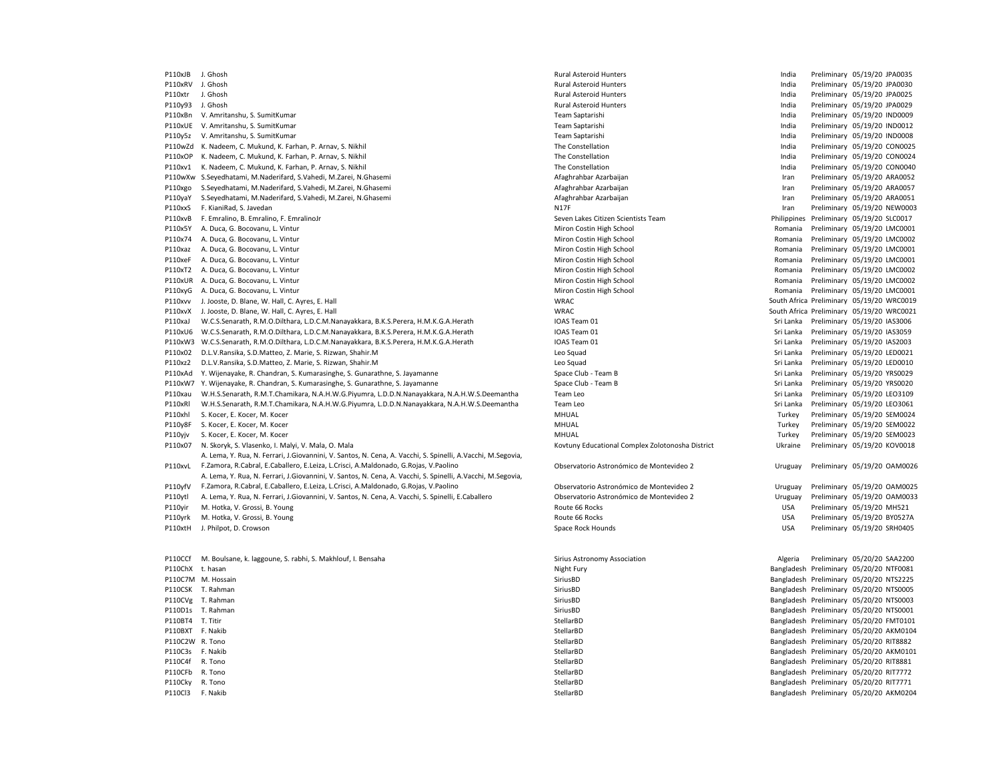P110xJB J. Ghosh Rural Asteroid Hunters India Preliminary 05/19/20 JPA0035 P110xRV J. Ghosh Rural Asteroid Hunters India Preliminary 05/19/20 JPA0030 P110xtr J. Ghosh Rural Asteroid Hunters India Preliminary 05/19/20 JPA0025 P110y93 J. Ghosh Preliminary 05/19/20 JPA0029<br>P110xBn V. Amritanshu, S. SumitKumar Names and Democration of the Superior of Team Saptarishi Team Saptarishi P110xBn V. Amritanshu, S. SumitKumar Team Saptarishi India Preliminary 1999 and a Team Saptarishi India Premi P110xUE V. Amritanshu, S. SumitKumar Team Saptarishi India Preliminary 05/19/20 IND0012 P110y5z V. Amritanshu, S. SumitKumar Team Saptarishi India Preliminary 05/19/20 IND0008 P110wZd K. Nadeem, C. Mukund, K. Farhan, P. Arnav, S. Nikhil States and The Constellation The Constellation Constellation and the Constellation India Preliminary 05/19/20 CON0025 P110xOP K. Nadeem, C. Mukund, K. Farhan, P. Arnav, S. Nikhil States and The Constellation The Constellation Constellation and the Constellation and the Constellation and the Constellation and the Constellation of the Const P110xv1 K. Nadeem, C. Mukund, K. Farhan, P. Arnav, S. Nikhil States and The Constellation The Constellation Constellation and the Constellation and the Constellation and the Constellation and the Constellation and the Cons P110wXw S.Seyedhatami, M.Naderifard, S.Vahedi, M.Zarei, N.Ghasemi American Arabaitan Azarbaijan Azarbaijan Preliminary 05/19/20 ARA0052 P110xgo S.Seyedhatami, M.Naderifard, S.Vahedi, M.Zarei, N.Ghasemi American American Preliminary and Preliminary 05/19/20 ARA0057 P110yaY S.Seyedhatami, M.Naderifard, S.Vahedi, M.Zarei, N.Ghasemi American American Preliminary and Preliminary 05/19/20 ARA0051 P110xxS F. KianiRad, S. Javedan N17F N17F N17F N17F N17F Iran Preliminary 05/19/20 NEW0003 P110xvB F. Emralino, B. Emralino, F. EmralinoJr Seven Lakes Citizen Scientists Team Philippines Preliminary 05/19/20 SLC0017 P110x5Y A. Duca, G. Bocovanu, L. Vintur Costin Miron Costin High School Miron Costin High School Romania Preliminary 05/19/20 LMC0001 P110x74 A. Duca, G. Bocovanu, L. Vintur Costin Miron Costin High School Miron Costin High School Romania Preliminary 05/19/20 LMC0002 P110xaz A. Duca, G. Bocovanu, L. Vintur en external and the Miron Costin High School Miron Costin High School Romania Preliminary 05/19/20 LMC0001 P110xeF A. Duca, G. Bocovanu, L. Vintur Costin Miron Costin High School Miron Costin High School Romania Preliminary 05/19/20 LMC0001 P110xT2 A. Duca, G. Bocovanu, L. Vintur Costa Costin High School Miron Costin High School Romania Preliminary 05/19/20 LMC0002 P110xUR A. Duca, G. Bocovanu, L. Vintur 
et al. 2010 and the state of the Miron Costin High School Miron Costin High School Network and a Preliminary 05/19/20 LMC0002 P110xyG A. Duca, G. Bocovanu, L. Vintur 
et al. 20001 Miron Costin High School Miron Costin High School Miron Costin High School Romania Preliminary 05/19/20 LMC0001 P110xvv J. Jooste, D. Blane, W. Hall, C. Ayres, E. Hall WRAC South Africa Preliminary 05/19/20 WRC0019 P110xvX J. Jooste, D. Blane, W. Hall, C. Ayres, E. Hall WRAC South Africa Preliminary 05/19/20 WRC0021 P110xaJ W.C.S.Senarath, R.M.O.Dilthara, L.D.C.M.Nanayakkara, B.K.S.Perera, H.M.K.G.A.Herath IOAS Team 01 Sri Lanka Preliminary 05/19/20 IAS3006 P110xU6 W.C.S.Senarath, R.M.O.Dilthara, L.D.C.M.Nanayakkara, B.K.S.Perera, H.M.K.G.A.Herath IOAS Team 01 Sri Lanka Preliminary 05/19/20 IAS3059 P110xW3 W.C.S.Senarath, R.M.O.Dilthara, L.D.C.M.Nanayakkara, B.K.S.Perera, H.M.K.G.A.Herath IOAS Team 01 Sri Lanka Preliminary 05/19/20 IAS2003 P110x02 D.L.V.Ransika, S.D.Matteo, Z. Marie, S. Rizwan, Shahir.M Leo Squad Sri Lanka Preliminary 05/19/20 LED0021 P110xz2 D.L.V.Ransika, S.D.Matteo, Z. Marie, S. Rizwan, Shahir.M Camera Sri Lanka Preliminary 05/19/20 LED0010 P110xAd Y. Wijenayake, R. Chandran, S. Kumarasinghe, S. Gunarathne, S. Jayamanne Space Club - Team B Space Club - Team B Sriew Space Club - Team B Sriew Space Club - Team B Sriew Space Club - Team B Sriew Space Club - Team P110xW7 Y. Wijenayake, R. Chandran, S. Kumarasinghe, S. Gunarathne, S. Jayamanne Space Club - Team B Sri Lanka Preliminary 05/19/20 Sri Lanka Preliminary 05/19/20 Sri Lanka P110xau W.H.S.Senarath, R.M.T.Chamikara, N.A.H.W.G.Piyumra, L.D.D.N.Nanayakkara, N.A.H.W.S.Deemantha Team Leo Sri Lanka Preliminary 05/19/20 LEO3109 P110xRl W.H.S.Senarath, R.M.T.Chamikara, N.A.H.W.G.Piyumra, L.D.D.N.Nanayakkara, N.A.H.W.S.Deemantha Team Leo Sri Lanka Preliminary 05/19/20 LEO3061 P110xhl S. Kocer, E. Kocer, M. Kocer **MHUAL Turkey Preliminary 05/19/20 SEM0024** CHER Turkey Preliminary 05/19/20 SEM0024 P110y8F S. Kocer, E. Kocer, M. Kocer **MEDIAL STEADER INTERNATION** MHUAL MHUAL Turkey Preliminary 05/19/20 SEM0022 P110yjv S. Kocer, E. Kocer, M. Kocer **MHUAL Turkey Preliminary 05/19/20 SEM0023** CHAL Turkey Preliminary 05/19/20 SEM0023 P110x07 N. Skoryk, S. Vlasenko, I. Malyi, V. Mala, O. Mala Kovtuny Educational Complex Zolotonosha District District Ukraine Preliminary 05/19/20 KOV0018 P110xvL F.Zamora, R.Cabral, E.Caballero, E.Leiza, L.Crisci, A.Maldonado, G.Rojas, V.Paolino **Decettio Capaca a Contexta astronómico** de Montevideo 2 Uruguay Preliminary 05/19/20 OAM0026 A. Lema, Y. Rua, N. Ferrari, J.Giovannini, V. Santos, N. Cena, A. Vacchi, S. Spinelli, A.Vacchi, M.Segovia, P110yfV A. Lema, Y. Rua, N. Ferrari, J.Giovannini, V. Santos, N. Cena, A. Vacchi, S. Spinelli, A.Vacchi, M.Segovia, F.Zamora, R.Cabral, E.Caballero, E.Leiza, L.Crisci, A.Maldonado, G.Rojas, V.Paolino Observatorio Astronómico de Montevideo 2 Uruguay Preliminary 05/19/20 OAM0025 P110ytl A. Lema, Y. Rua, N. Ferrari, J.Giovannini, V. Santos, N. Cena, A. Vacchi, S. Spinelli, E.Caballero Observatorio Astronómico de Montevideo 2 Uruguay Preliminary 05/19/20 OAM0033 P110yir M. Hotka, V. Grossi, B. Young examples and the state of the state of the state of Route 66 Rocks and the state of the State of the State of the State of the State of the State of the State of the State of the State P110yrk M. Hotka, V. Grossi, B. Young examples and the state of the state of the state of the state of the state of the State of the State of the State of the State of the State of the State of the State of the State of th P110xtH J. Philpot, D. Crowson entertainment of the Space Rock Hounds Space Rock Hounds USA Preliminary 05/19/20 SRH0405 P110CCf M. Boulsane, k. laggoune, S. rabhi, S. Makhlouf, I. Bensaha Sirius Astronomy Association Association Algeria Preliminary 05/20/20 SAA2200 P110ChX t. hasan examples and the state of the state of the state of the Shapesh Preliminary 05/20/20 NTF0081 Night Fury S/20/20 NTF0081 P110C7M M. Hossain SiriusBD Bangladesh Preliminary 05/20/20 NTS2225 P110CSK T. Rahman SiriusBD Bangladesh Preliminary 05/20/20 NTS0005 P110CVg T. Rahman SiriusBD Bangladesh Preliminary 05/20/20 NTS0003 P110D1s T. Rahman SiriusBD Bangladesh Preliminary 05/20/20 NTS0001 SiriusBD SiriusBD Bangladesh Preliminary 05/20/20 NTS0001 P110BT4 T. Titir the matrix of the stellar of the stellar of the Stellar Stellar Bangladesh Preliminary 05/20/20 FMT0101<br>P110BXT F Nakih Stellar Stellar Stellar Stellar Stellar Stellar Stellar Stellar Stellar Stellar Stell P110BXT F. Nakib StellarBD StellarBD StellarBD StellarBD Bangladesh Preliminary 05/20/20 AKM0104 Preliminary 05/20/20 AKM0104 P110C2W R. Tono **Example 2012 12:30 StellarBD** StellarBD StellarBD StellarBD Bangladesh Preliminary 05/20/20 RIT8882<br>Bangladesh Preliminary 05/20/20 AKM010 P110C3s F. Nakib StellarBD Bangladesh Preliminary 05/20/20 AKM0101 P110C4f R. Tono **StellarBD** StellarBD StellarBD StellarBD Bangladesh Preliminary 05/20/20 RIT8881 P110CFb R. Tono StellarBD Bangladesh Preliminary 05/20/20 RIT7772 P110Cky R. Tono **StellarBD** StellarBD StellarBD Bangladesh Preliminary 05/20/20 RIT7771

P110Cl3 F. Nakib StellarBD Bangladesh Preliminary 05/20/20 AKM0204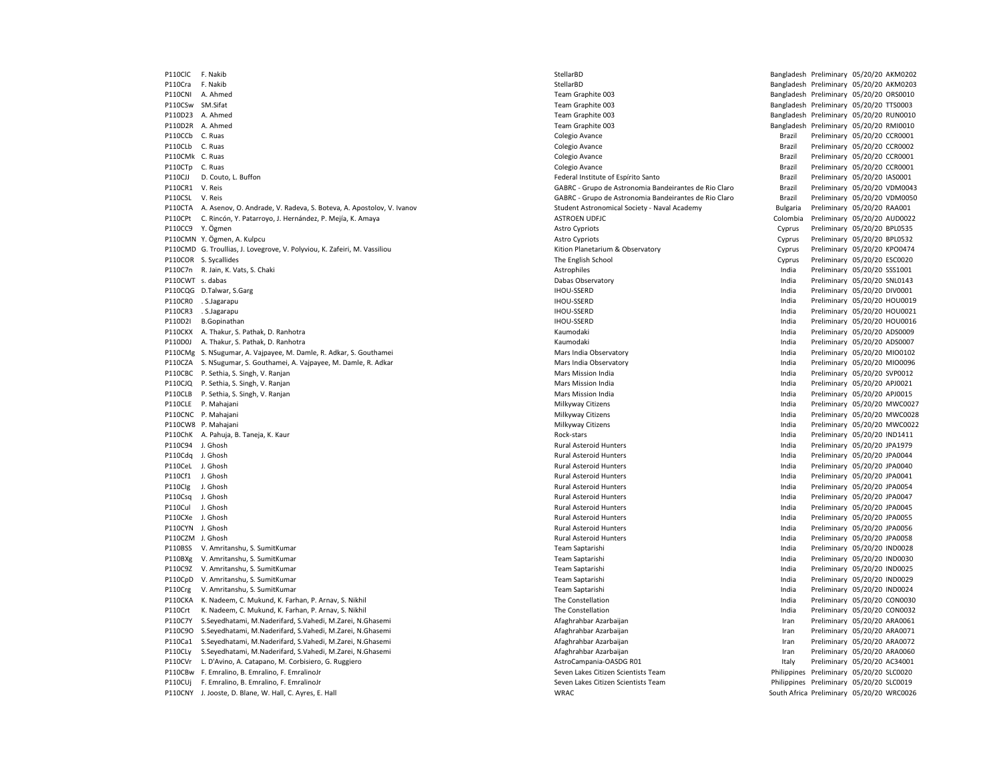P110ClC F. Nakib StellarBD Bangladesh Preliminary 05/20/20 AKM0202 P110Cra F. Nakib StellarBD Bangladesh Preliminary 05/20/20 AKM0203 P110CNI A. Ahmed **Team Graphite 003** Team Graphite 003 **Bangladesh Preliminary 05/20/20 ORS0010** P110CSw SM.Sifat examples and the state of the STERM Graphite CO3 Bangladesh Preliminary 05/20/20 TTS0003 Team Graphite CO3 Bangladesh Preliminary 05/20/20 TTS0003 P110D23 A. Ahmed **Example 2018** Team Graphite 2003 Team Graphite 003 **Bangladesh Preliminary 05/20/20 RUN0010**<br>P110D2R A. Ahmed **Preliminary 05/20/20 RMI0010** P110D2R A. Ahmed **Team Graphite 003** Team Graphite 003 **Bangladesh Preliminary 05/20/20 RMI0010** P110CCb C. Ruas Colegio Avance Brazil Preliminary 05/20/20 CCR0001 P110CMk C. Ruas Colegio Avance Brazil Preliminary 05/20/20 CCR0001 P110CTp C. Ruas Colegio Avance Brazil Preliminary 05/20/20 CCR0001 P110CJJ D. Couto, L. Buffon **Federal Institute of Espírito Santo** Federal Institute of Espírito Santo **Federal Institute of Espírito Santo** Brazil Preliminary 05/20/20 IAS0001 P110CR1 V. Reis GABRC - Grupo de Astronomia Bandeirantes de Rio Claro Brazil Preliminary 05/20/20 VDM0043 P110CSL V. Reis GABRC - Grupo de Astronomia Bandeirantes de Rio Claro Brazil Preliminary 05/20/20 VDM0050 P110CTA A. Asenov, O. Andrade, V. Radeva, S. Boteva, A. Apostolov, V. Ivanov Student Astronomical Society - Naval Academy Bulgaria Preliminary 05/20/20 RAA001 P110CPt C. Rincón, Y. Patarroyo, J. Hernández, P. Mejía, K. Amaya ASTROEN UDFJC ASTROEN UDFJC Colombia Preliminary 05/20/20 AUD0022 P110CC9 Y. Ögmen Cyprus Preliminary 05/20/20 BPL0535 P110CMN Y. Ögmen, A. Kulpcu Cyprus Preliminary 05/20/20 BPL0532 P110CMD G. Troullias, J. Lovegrove, V. Polyviou, K. Zafeiri, M. Vassiliou etc. Websites and the state of the state of the state of the cyprus Preliminary 05/20/20 KPO0474 P110COR S. Sycallides examples the English School The English School Cyprus Preliminary 05/20/20 ESC0020 P110C7n R. Jain, K. Vats, S. Chaki **Astrophiles** Astrophiles Astrophiles Astrophiles and Preliminary 05/20/20 SSS1001 P110CWT s. dabas examples and the preliminary 05/20/20 SNL0143 P110CQG D.Talwar, S.Garg entitled a state of the state of the state of the state of the state of the state of the state of the state of the state of the state of the state of the state of the state of the state of the stat P110CR0 . S.Jagarapu IHOU-SSERD India Preliminary 05/20/20 HOU0019 P110CR3 . S.Jagarapu Pampus memberi pada atas pertama pada tahun 1992 yang berakhir pada tahun 1992 yang pada tahun 1992 yang berakhir pada tahun 1992 yang pada tahun 1992 yang pada tahun 1992 yang pada tahun 1992 yang pad P110D2I B.Gopinathan Markunda and Markunda and Delinional Hourse india Preliminary 05/20/20 HOU0016 P110CKX A. Thakur, S. Pathak, D. Ranhotra **India Report A. Pathawa India Preliminary 05/20/20 ADS0009** Preliminary 05/20/20 ADS0009 P110D0J A. Thakur, S. Pathak, D. Ranhotra **India Expansion Component Component Component Component Component Component Component Component Component Component Component Component Component Component Component Component Com** P110CMg S. NSugumar, A. Vajpayee, M. Damle, R. Adkar, S. Gouthamei Mars India Diservatory Mars India Observatory Mars India Observatory India Preliminary 05/20/20 MIO0102 P110CZA S. NSugumar, S. Gouthamei, A. Vajpayee, M. Damle, R. Adkar Nars India Preliminary and a the studies of the State of Minitary Ann and Mars India Observatory and a mars India Preliminary 05/20/20 SVP0012 and a prelim P110CBC P. Sethia, S. Singh, V. Ranjan Mars Mars Mars Mission India India India India India India India India India P110CJQ P. Sethia, S. Singh, V. Ranjan Mars Mission India Mars Mission India India Preliminary 05/20/20 APJ0021 P110CLB P. Sethia, S. Singh, V. Ranjan Mars Mission India Mars Mission India India India Preliminary 05/20/20 APJ0015 P110CLE P. Mahajani **Milkyway Citizens India Preliminary 05/20/20 MWC0027** Milkyway Citizens **India Preliminary 05/20/20 MWC0027** P110CNC P. Mahajani **Milkyway Citizens India Preliminary 05/20/20 MWC0028** Milkyway Citizens **India Preliminary 05/20/20 MWC0028** P110CW8 P. Mahajani **Milkyway Citizens India Preliminary 05/20/20 MWC0022** Nikyway Citizens **India Preliminary 05/20/20 MWC0022** P110ChK A. Pahuja, B. Taneja, K. Kaur **Mahuja, B. Taneja, K. Kaur Rock-stars** Rock-stars **India** Preliminary 05/20/20 IND1411 P110C94 J. Ghosh Rural Asteroid Hunters India Preliminary 05/20/20 JPA1979 P110Cdq J. Ghosh Rural Asteroid Hunters India Preliminary 05/20/20 JPA0044 P110CeL J. Ghosh Rural Asteroid Hunters India Preliminary 05/20/20 JPA0040 P110Cf1 J. Ghosh Rural Asteroid Hunters India Preliminary 05/20/20 JPA0041 P110Clg J. Ghosh **Philadella Rural Asteroid Hunters** Rural Asteroid Hunters **India Preliminary 05/20/20 JPA0054** P110Csq J. Ghosh **Product Asteroid Hunters** Rural Asteroid Hunters **Rural Asteroid Hunters** India Preliminary 05/20/20 JPA0047 P110Cul J. Ghosh Rural Asteroid Hunters India Preliminary 05/20/20 JPA0045 P110CXe J. Ghosh Rural Asteroid Hunters India Preliminary 05/20/20 JPA0055 P110CYN J. Ghosh **Product Asteroid Hunters** Rural Asteroid Hunters **Rural Asteroid Hunters** India Preliminary 05/20/20 JPA0056 P110CZM J. Ghosh Rural Asteroid Hunters India Preliminary 05/20/20 JPA0058 P110BSS V. Amritanshu, S. SumitKumar Team Saptarishi India Preliminary 05/20/20 IND0028 P110BXg V. Amritanshu, S. SumitKumar Names and Saptarishi Team Saptarishi Team Saptarishi India Preliminary 05/20/20 IND0030 P110C9Z V. Amritanshu, S. SumitKumar Namaz Saptarishi Team Saptarishi Team Saptarishi India Preliminary 05/20/20 IND0025 P110CpD V. Amritanshu, S. SumitKumar **Team Saptarishi Team Saptarishi** Team Saptarishi India Preliminary 05/20/20 IND0029 P110Crg V. Amritanshu, S. SumitKumar **Team Saptarishi** Team Saptarishi Team Saptarishi India Preliminary 05/20/20 IND0024 P110CKA K. Nadeem, C. Mukund, K. Farhan, P. Arnav, S. Nikhil States and The Constellation The Constellation Constellation and the Constellation and the Constellation and the Constellation and the Constellation and the Cons P110Crt K. Nadeem, C. Mukund, K. Farhan, P. Arnav, S. Nikhil States and The Constellation Constellation Constellation Constellation India Preliminary 05/20/20 CON0032 P110C7Y S.Seyedhatami, M.Naderifard, S.Vahedi, M.Zarei, N.Ghasemi American American Preliminary and Preliminary 05/20/20 ARA0061 P110C9O S.Seyedhatami, M.Naderifard, S.Vahedi, M.Zarei, N.Ghasemi Afaghrahbar Azarbaijan Iran Preliminary 05/20/20 ARA0071 P110Ca1 S.Seyedhatami, M.Naderifard, S.Vahedi, M.Zarei, N.Ghasemi Afaghrahbar Azarbaijan Iran Preliminary 05/20/20 ARA0072 P110CLy S.Seyedhatami, M.Naderifard, S.Vahedi, M.Zarei, N.Ghasemi American Arabaitan Azarbaijan Afaghrahbar Azarbaijan Iran Preliminary 05/20/20 ARA0060 P110CVr L. D'Avino, A. Catapano, M. Corbisiero, G. Ruggiero 
and AstroCampania-OASDG R01 Italy Preliminary 05/20/20 AC34001 P110CBw F. Emralino, B. Emralino, F. EmralinoJr Seven Lakes Citizen Scientists Team Philippines Preliminary 05/20/20 SLC0020 P110CUj F. Emralino, B. Emralino, F. EmralinoJr Seven Lakes Citizen Scientists Team Philippines Preliminary 05/20/20 SLC0019 P110CNY J. Jooste, D. Blane, W. Hall, C. Ayres, E. Hall WRAC South Africa Preliminary 05/20/20 WRC0026

P110CLb C. Ruas Colegio Avance Brazil Preliminary 05/20/20 CCR0002